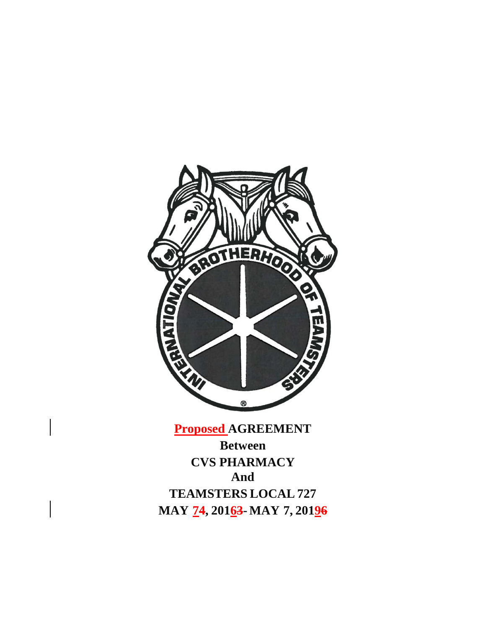

**Proposed AGREEMENT**

**Between CVS PHARMACY And TEAMSTERS LOCAL 727 MAY 74, 20163-MAY 7, 20196**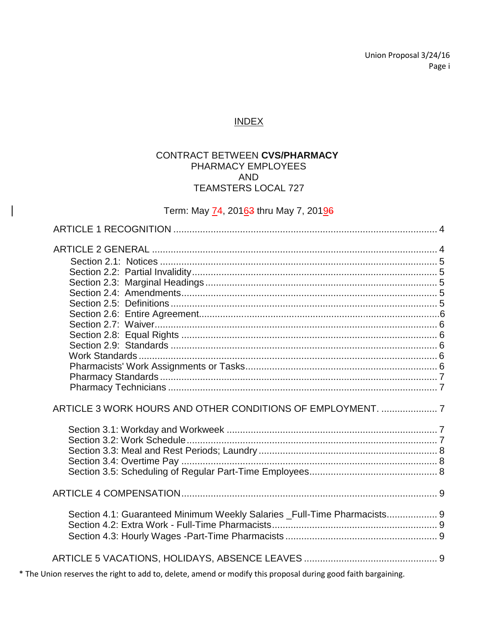Union Proposal 3/24/16 Page i

# **INDEX**

## CONTRACT BETWEEN CVS/PHARMACY PHARMACY EMPLOYEES **AND TEAMSTERS LOCAL 727**

# Term: May 74, 20163 thru May 7, 20196

| ARTICLE 3 WORK HOURS AND OTHER CONDITIONS OF EMPLOYMENT.  7              |  |
|--------------------------------------------------------------------------|--|
|                                                                          |  |
|                                                                          |  |
| Section 4.1: Guaranteed Minimum Weekly Salaries _Full-Time Pharmacists 9 |  |
|                                                                          |  |
|                                                                          |  |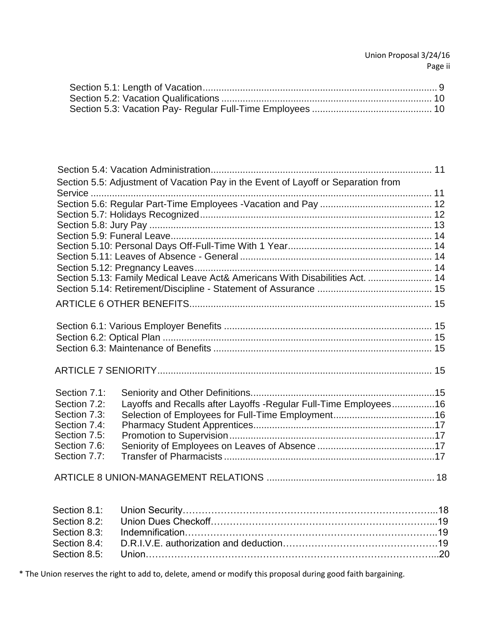| Section 5.5: Adjustment of Vacation Pay in the Event of Layoff or Separation from |  |
|-----------------------------------------------------------------------------------|--|
|                                                                                   |  |
|                                                                                   |  |
|                                                                                   |  |
|                                                                                   |  |
|                                                                                   |  |
|                                                                                   |  |
|                                                                                   |  |
|                                                                                   |  |
| Section 5.13: Family Medical Leave Act& Americans With Disabilities Act.  14      |  |
|                                                                                   |  |
|                                                                                   |  |
|                                                                                   |  |
|                                                                                   |  |
|                                                                                   |  |
|                                                                                   |  |
|                                                                                   |  |
| Section 7.1:                                                                      |  |
| Layoffs and Recalls after Layoffs - Regular Full-Time Employees16<br>Section 7.2: |  |
| Section 7.3:                                                                      |  |
| Section 7.4:                                                                      |  |
| Section 7.5:                                                                      |  |
| Section 7.6:                                                                      |  |
| Section 7.7:                                                                      |  |
|                                                                                   |  |
| Section 8.1:                                                                      |  |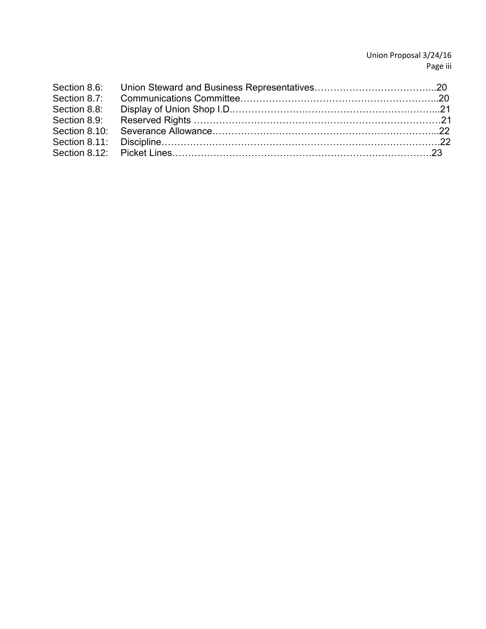## Union Proposal 3/24/16 Page iii

| Section 8.8: |  |
|--------------|--|
|              |  |
|              |  |
|              |  |
|              |  |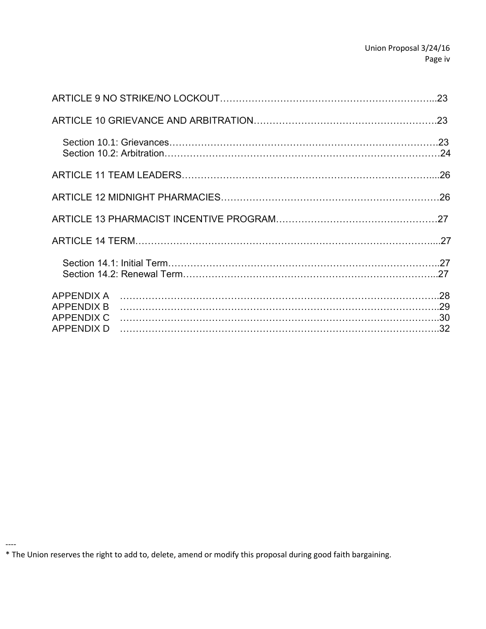| <b>APPENDIX A</b><br><b>APPENDIX B</b><br><b>APPENDIX C</b><br><b>APPENDIX D</b> |  |
|----------------------------------------------------------------------------------|--|
|                                                                                  |  |

<sup>\*</sup> The Union reserves the right to add to, delete, amend or modify this proposal during good faith bargaining.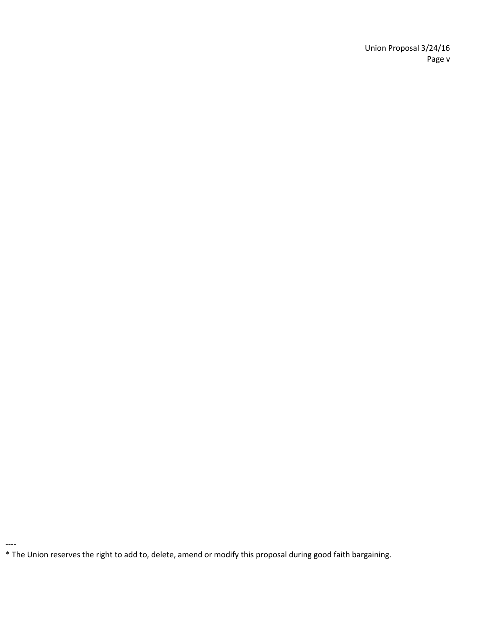Union Proposal 3/24/16 Page v

<sup>\*</sup> The Union reserves the right to add to, delete, amend or modify this proposal during good faith bargaining.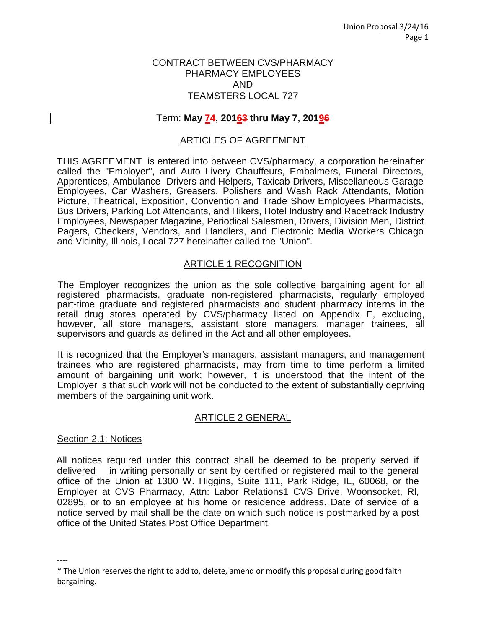#### CONTRACT BETWEEN CVS/PHARMACY PHARMACY EMPLOYEES AND TEAMSTERS LOCAL 727

#### Term: **May 74, 20163 thru May 7, 20196**

#### ARTICLES OF AGREEMENT

THIS AGREEMENT is entered into between CVS/pharmacy, a corporation hereinafter called the "Employer", and Auto Livery Chauffeurs, Embalmers, Funeral Directors, Apprentices, Ambulance Drivers and Helpers, Taxicab Drivers, Miscellaneous Garage Employees, Car Washers, Greasers, Polishers and Wash Rack Attendants, Motion Picture, Theatrical, Exposition, Convention and Trade Show Employees Pharmacists, Bus Drivers, Parking Lot Attendants, and Hikers, Hotel Industry and Racetrack Industry Employees, Newspaper Magazine, Periodical Salesmen, Drivers, Division Men, District Pagers, Checkers, Vendors, and Handlers, and Electronic Media Workers Chicago and Vicinity, Illinois, Local 727 hereinafter called the "Union".

#### ARTICLE 1 RECOGNITION

The Employer recognizes the union as the sole collective bargaining agent for all registered pharmacists, graduate non-registered pharmacists, regularly employed part-time graduate and registered pharmacists and student pharmacy interns in the retail drug stores operated by CVS/pharmacy listed on Appendix E, excluding, however, all store managers, assistant store managers, manager trainees, all supervisors and guards as defined in the Act and all other employees.

It is recognized that the Employer's managers, assistant managers, and management trainees who are registered pharmacists, may from time to time perform a limited amount of bargaining unit work; however, it is understood that the intent of the Employer is that such work will not be conducted to the extent of substantially depriving members of the bargaining unit work.

#### ARTICLE 2 GENERAL

#### Section 2.1: Notices

----

All notices required under this contract shall be deemed to be properly served if delivered in writing personally or sent by certified or registered mail to the general office of the Union at 1300 W. Higgins, Suite 111, Park Ridge, IL, 60068, or the Employer at CVS Pharmacy, Attn: Labor Relations1 CVS Drive, Woonsocket, Rl, 02895, or to an employee at his home or residence address. Date of service of a notice served by mail shall be the date on which such notice is postmarked by a post office of the United States Post Office Department.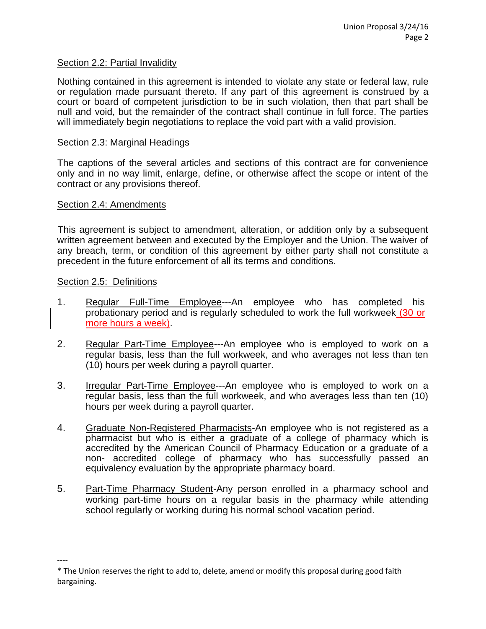#### Section 2.2: Partial Invalidity

Nothing contained in this agreement is intended to violate any state or federal law, rule or regulation made pursuant thereto. If any part of this agreement is construed by a court or board of competent jurisdiction to be in such violation, then that part shall be null and void, but the remainder of the contract shall continue in full force. The parties will immediately begin negotiations to replace the void part with a valid provision.

#### Section 2.3: Marginal Headings

The captions of the several articles and sections of this contract are for convenience only and in no way limit, enlarge, define, or otherwise affect the scope or intent of the contract or any provisions thereof.

#### Section 2.4: Amendments

This agreement is subject to amendment, alteration, or addition only by a subsequent written agreement between and executed by the Employer and the Union. The waiver of any breach, term, or condition of this agreement by either party shall not constitute a precedent in the future enforcement of all its terms and conditions.

#### Section 2.5: Definitions

- 1. Regular Full-Time Employee---An employee who has completed his probationary period and is regularly scheduled to work the full workweek (30 or more hours a week).
- 2. Regular Part-Time Employee---An employee who is employed to work on a regular basis, less than the full workweek, and who averages not less than ten (10) hours per week during a payroll quarter.
- 3. Irregular Part-Time Employee---An employee who is employed to work on a regular basis, less than the full workweek, and who averages less than ten (10) hours per week during a payroll quarter.
- 4. Graduate Non-Registered Pharmacists-An employee who is not registered as a pharmacist but who is either a graduate of a college of pharmacy which is accredited by the American Council of Pharmacy Education or a graduate of a non- accredited college of pharmacy who has successfully passed an equivalency evaluation by the appropriate pharmacy board.
- 5. Part-Time Pharmacy Student-Any person enrolled in a pharmacy school and working part-time hours on a regular basis in the pharmacy while attending school regularly or working during his normal school vacation period.

<sup>\*</sup> The Union reserves the right to add to, delete, amend or modify this proposal during good faith bargaining.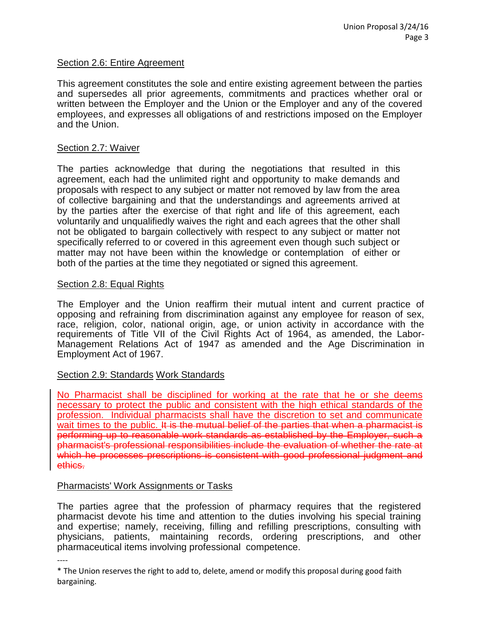#### Section 2.6: Entire Agreement

This agreement constitutes the sole and entire existing agreement between the parties and supersedes all prior agreements, commitments and practices whether oral or written between the Employer and the Union or the Employer and any of the covered employees, and expresses all obligations of and restrictions imposed on the Employer and the Union.

#### Section 2.7: Waiver

The parties acknowledge that during the negotiations that resulted in this agreement, each had the unlimited right and opportunity to make demands and proposals with respect to any subject or matter not removed by law from the area of collective bargaining and that the understandings and agreements arrived at by the parties after the exercise of that right and life of this agreement, each voluntarily and unqualifiedly waives the right and each agrees that the other shall not be obligated to bargain collectively with respect to any subject or matter not specifically referred to or covered in this agreement even though such subject or matter may not have been within the knowledge or contemplation of either or both of the parties at the time they negotiated or signed this agreement.

#### Section 2.8: Equal Rights

The Employer and the Union reaffirm their mutual intent and current practice of opposing and refraining from discrimination against any employee for reason of sex, race, religion, color, national origin, age, or union activity in accordance with the requirements of Title VII of the Civil Rights Act of 1964, as amended, the Labor-Management Relations Act of 1947 as amended and the Age Discrimination in Employment Act of 1967.

## Section 2.9: Standards Work Standards

No Pharmacist shall be disciplined for working at the rate that he or she deems necessary to protect the public and consistent with the high ethical standards of the profession. Individual pharmacists shall have the discretion to set and communicate wait times to the public. It is the mutual belief of the parties that when a pharmacist is performing up to reasonable work standards as established by the Employer, such a pharmacist's professional responsibilities include the evaluation of whether the rate at which he processes prescriptions is consistent with good professional judgment and ethics.

#### Pharmacists' Work Assignments or Tasks

The parties agree that the profession of pharmacy requires that the registered pharmacist devote his time and attention to the duties involving his special training and expertise; namely, receiving, filling and refilling prescriptions, consulting with physicians, patients, maintaining records, ordering prescriptions, and other pharmaceutical items involving professional competence.

<sup>----</sup>

<sup>\*</sup> The Union reserves the right to add to, delete, amend or modify this proposal during good faith bargaining.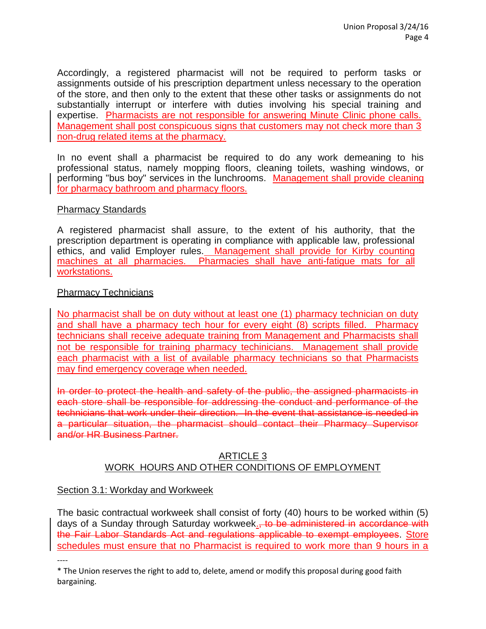Accordingly, a registered pharmacist will not be required to perform tasks or assignments outside of his prescription department unless necessary to the operation of the store, and then only to the extent that these other tasks or assignments do not substantially interrupt or interfere with duties involving his special training and expertise. Pharmacists are not responsible for answering Minute Clinic phone calls. Management shall post conspicuous signs that customers may not check more than 3 non-drug related items at the pharmacy.

In no event shall a pharmacist be required to do any work demeaning to his professional status, namely mopping floors, cleaning toilets, washing windows, or performing "bus boy" services in the lunchrooms. Management shall provide cleaning for pharmacy bathroom and pharmacy floors.

## Pharmacy Standards

A registered pharmacist shall assure, to the extent of his authority, that the prescription department is operating in compliance with applicable law, professional ethics, and valid Employer rules. Management shall provide for Kirby counting machines at all pharmacies. Pharmacies shall have anti-fatigue mats for all workstations.

## Pharmacy Technicians

No pharmacist shall be on duty without at least one (1) pharmacy technician on duty and shall have a pharmacy tech hour for every eight (8) scripts filled. Pharmacy technicians shall receive adequate training from Management and Pharmacists shall not be responsible for training pharmacy techinicians. Management shall provide each pharmacist with a list of available pharmacy technicians so that Pharmacists may find emergency coverage when needed.

In order to protect the health and safety of the public, the assigned pharmacists in each store shall be responsible for addressing the conduct and performance of the technicians that work under their direction. In the event that assistance is needed in a particular situation, the pharmacist should contact their Pharmacy Supervisor and/or HR Business Partner.

## ARTICLE 3 WORK HOURS AND OTHER CONDITIONS OF EMPLOYMENT

## Section 3.1: Workday and Workweek

The basic contractual workweek shall consist of forty (40) hours to be worked within (5) days of a Sunday through Saturday workweek<sub>.</sub>, to be administered in accordance with the Fair Labor Standards Act and regulations applicable to exempt employees. Store schedules must ensure that no Pharmacist is required to work more than 9 hours in a

<sup>----</sup>

<sup>\*</sup> The Union reserves the right to add to, delete, amend or modify this proposal during good faith bargaining.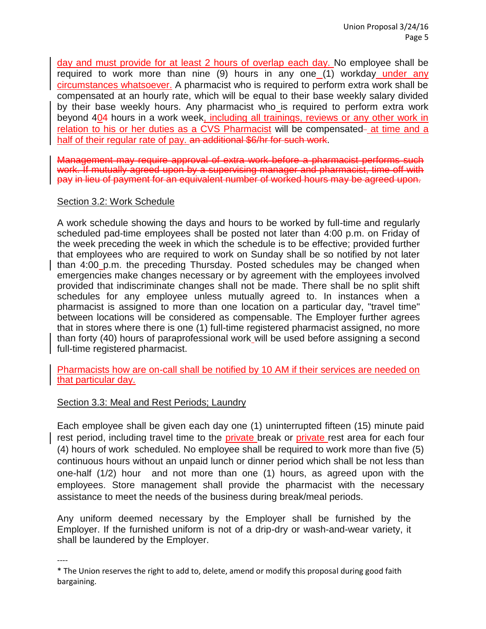day and must provide for at least 2 hours of overlap each day. No employee shall be required to work more than nine (9) hours in any one (1) workday under any circumstances whatsoever. A pharmacist who is required to perform extra work shall be compensated at an hourly rate, which will be equal to their base weekly salary divided by their base weekly hours. Any pharmacist who is required to perform extra work beyond 404 hours in a work week, including all trainings, reviews or any other work in relation to his or her duties as a CVS Pharmacist will be compensated- at time and a half of their regular rate of pay. an additional \$6/hr for such work.

Management may require approval of extra work before a pharmacist performs such work. If mutually agreed upon by a supervising manager and pharmacist, time off with pay in lieu of payment for an equivalent number of worked hours may be agreed upon.

#### Section 3.2: Work Schedule

A work schedule showing the days and hours to be worked by full-time and regularly scheduled pad-time employees shall be posted not later than 4:00 p.m. on Friday of the week preceding the week in which the schedule is to be effective; provided further that employees who are required to work on Sunday shall be so notified by not later than 4:00 p.m. the preceding Thursday. Posted schedules may be changed when emergencies make changes necessary or by agreement with the employees involved provided that indiscriminate changes shall not be made. There shall be no split shift schedules for any employee unless mutually agreed to. In instances when a pharmacist is assigned to more than one location on a particular day, "travel time" between locations will be considered as compensable. The Employer further agrees that in stores where there is one (1) full-time registered pharmacist assigned, no more than forty (40) hours of paraprofessional work will be used before assigning a second full-time registered pharmacist.

Pharmacists how are on-call shall be notified by 10 AM if their services are needed on that particular day.

## Section 3.3: Meal and Rest Periods; Laundry

----

Each employee shall be given each day one (1) uninterrupted fifteen (15) minute paid rest period, including travel time to the private break or private rest area for each four (4) hours of work scheduled. No employee shall be required to work more than five (5) continuous hours without an unpaid lunch or dinner period which shall be not less than one-half (1/2) hour and not more than one (1) hours, as agreed upon with the employees. Store management shall provide the pharmacist with the necessary assistance to meet the needs of the business during break/meal periods.

Any uniform deemed necessary by the Employer shall be furnished by the Employer. If the furnished uniform is not of a drip-dry or wash-and-wear variety, it shall be laundered by the Employer.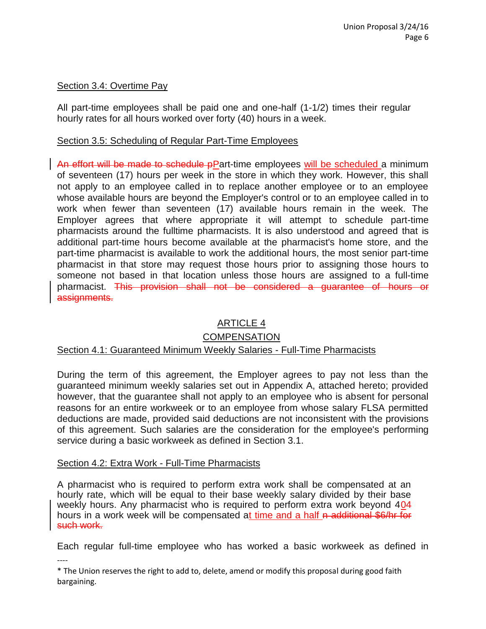## Section 3.4: Overtime Pay

All part-time employees shall be paid one and one-half (1-1/2) times their regular hourly rates for all hours worked over forty (40) hours in a week.

# Section 3.5: Scheduling of Regular Part-Time Employees

An effort will be made to schedule pPart-time employees will be scheduled a minimum of seventeen (17) hours per week in the store in which they work. However, this shall not apply to an employee called in to replace another employee or to an employee whose available hours are beyond the Employer's control or to an employee called in to work when fewer than seventeen (17) available hours remain in the week. The Employer agrees that where appropriate it will attempt to schedule part-time pharmacists around the fulltime pharmacists. It is also understood and agreed that is additional part-time hours become available at the pharmacist's home store, and the part-time pharmacist is available to work the additional hours, the most senior part-time pharmacist in that store may request those hours prior to assigning those hours to someone not based in that location unless those hours are assigned to a full-time pharmacist. This provision shall not be considered a guarantee of hours or assignments.

# ARTICLE 4

# **COMPENSATION**

# Section 4.1: Guaranteed Minimum Weekly Salaries - Full-Time Pharmacists

During the term of this agreement, the Employer agrees to pay not less than the guaranteed minimum weekly salaries set out in Appendix A, attached hereto; provided however, that the guarantee shall not apply to an employee who is absent for personal reasons for an entire workweek or to an employee from whose salary FLSA permitted deductions are made, provided said deductions are not inconsistent with the provisions of this agreement. Such salaries are the consideration for the employee's performing service during a basic workweek as defined in Section 3.1.

## Section 4.2: Extra Work - Full-Time Pharmacists

A pharmacist who is required to perform extra work shall be compensated at an hourly rate, which will be equal to their base weekly salary divided by their base weekly hours. Any pharmacist who is required to perform extra work beyond 404 hours in a work week will be compensated at time and a half n additional \$6/hr for such work.

---- Each regular full-time employee who has worked a basic workweek as defined in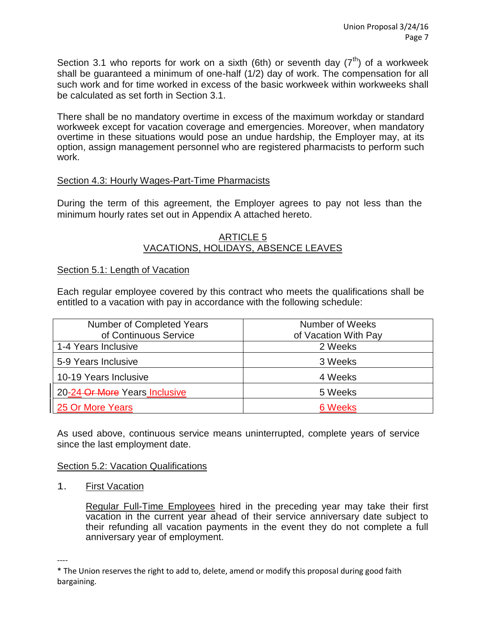Section 3.1 who reports for work on a sixth (6th) or seventh day  $(7<sup>th</sup>)$  of a workweek shall be guaranteed a minimum of one-half (1/2) day of work. The compensation for all such work and for time worked in excess of the basic workweek within workweeks shall be calculated as set forth in Section 3.1.

There shall be no mandatory overtime in excess of the maximum workday or standard workweek except for vacation coverage and emergencies. Moreover, when mandatory overtime in these situations would pose an undue hardship, the Employer may, at its option, assign management personnel who are registered pharmacists to perform such work.

## Section 4.3: Hourly Wages-Part-Time Pharmacists

During the term of this agreement, the Employer agrees to pay not less than the minimum hourly rates set out in Appendix A attached hereto.

#### ARTICLE 5 VACATIONS, HOLIDAYS, ABSENCE LEAVES

## Section 5.1: Length of Vacation

Each regular employee covered by this contract who meets the qualifications shall be entitled to a vacation with pay in accordance with the following schedule:

| Number of Completed Years     | Number of Weeks      |
|-------------------------------|----------------------|
| of Continuous Service         | of Vacation With Pay |
| 1-4 Years Inclusive           | 2 Weeks              |
| 5-9 Years Inclusive           | 3 Weeks              |
| 10-19 Years Inclusive         | 4 Weeks              |
| 20-24-Or More Years Inclusive | 5 Weeks              |
| 25 Or More Years              | 6 Weeks              |

As used above, continuous service means uninterrupted, complete years of service since the last employment date.

## Section 5.2: Vacation Qualifications

1. First Vacation

Regular Full-Time Employees hired in the preceding year may take their first vacation in the current year ahead of their service anniversary date subject to their refunding all vacation payments in the event they do not complete a full anniversary year of employment.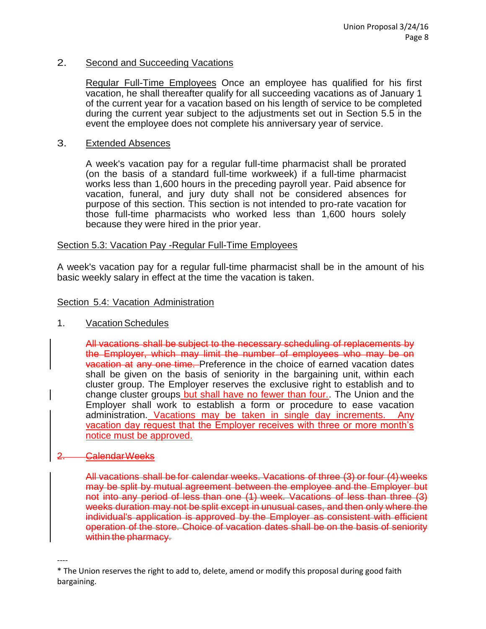#### 2. Second and Succeeding Vacations

Regular Full-Time Employees Once an employee has qualified for his first vacation, he shall thereafter qualify for all succeeding vacations as of January 1 of the current year for a vacation based on his length of service to be completed during the current year subject to the adjustments set out in Section 5.5 in the event the employee does not complete his anniversary year of service.

#### 3. Extended Absences

A week's vacation pay for a regular full-time pharmacist shall be prorated (on the basis of a standard full-time workweek) if a full-time pharmacist works less than 1,600 hours in the preceding payroll year. Paid absence for vacation, funeral, and jury duty shall not be considered absences for purpose of this section. This section is not intended to pro-rate vacation for those full-time pharmacists who worked less than 1,600 hours solely because they were hired in the prior year.

#### Section 5.3: Vacation Pay -Regular Full-Time Employees

A week's vacation pay for a regular full-time pharmacist shall be in the amount of his basic weekly salary in effect at the time the vacation is taken.

#### Section 5.4: Vacation Administration

## 1. Vacation Schedules

All vacations shall be subject to the necessary scheduling of replacements by the Employer, which may limit the number of employees who may be on vacation at any one time. Preference in the choice of earned vacation dates shall be given on the basis of seniority in the bargaining unit, within each cluster group. The Employer reserves the exclusive right to establish and to change cluster groups but shall have no fewer than four.. The Union and the Employer shall work to establish a form or procedure to ease vacation administration. Vacations may be taken in single day increments. Any vacation day request that the Employer receives with three or more month's notice must be approved.

#### 2. CalendarWeeks

----

All vacations shall be for calendar weeks. Vacations of three (3) or four (4) weeks may be split by mutual agreement between the employee and the Employer but not into any period of less than one (1) week. Vacations of less than three (3) weeks duration may not be split except in unusual cases, and then only where the individual's application is approved by the Employer as consistent with efficient operation of the store. Choice of vacation dates shall be on the basis of seniority within the pharmacy.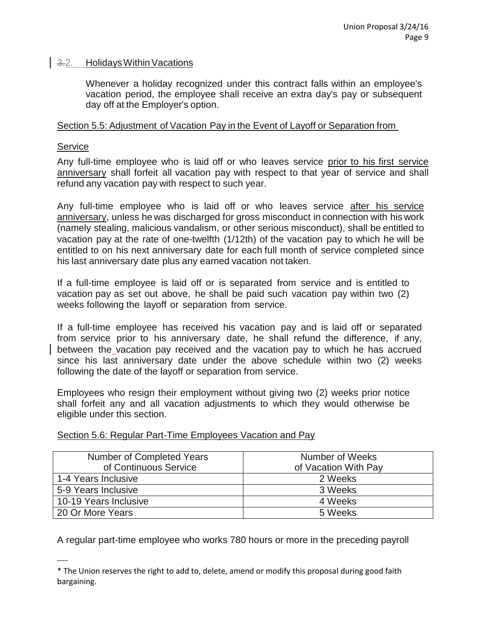#### 3.2. HolidaysWithinVacations

Whenever a holiday recognized under this contract falls within an employee's vacation period, the employee shall receive an extra day's pay or subsequent day off at the Employer's option.

#### Section 5.5: Adjustment of Vacation Pay in the Event of Layoff or Separation from

#### Service

Any full-time employee who is laid off or who leaves service prior to his first service anniversary shall forfeit all vacation pay with respect to that year of service and shall refund any vacation pay with respect to such year.

Any full-time employee who is laid off or who leaves service after his service anniversary, unless he was discharged for gross misconduct in connection with his work (namely stealing, malicious vandalism, or other serious misconduct), shall be entitled to vacation pay at the rate of one-twelfth (1/12th) of the vacation pay to which he will be entitled to on his next anniversary date for each full month of service completed since his last anniversary date plus any earned vacation not taken.

If a full-time employee is laid off or is separated from service and is entitled to vacation pay as set out above, he shall be paid such vacation pay within two (2) weeks following the layoff or separation from service.

If a full-time employee has received his vacation pay and is laid off or separated from service prior to his anniversary date, he shall refund the difference, if any, between the vacation pay received and the vacation pay to which he has accrued since his last anniversary date under the above schedule within two (2) weeks following the date of the layoff or separation from service.

Employees who resign their employment without giving two (2) weeks prior notice shall forfeit any and all vacation adjustments to which they would otherwise be eligible under this section.

| Number of Completed Years | Number of Weeks      |
|---------------------------|----------------------|
| of Continuous Service     | of Vacation With Pay |
| 1-4 Years Inclusive       | 2 Weeks              |
| 5-9 Years Inclusive       | 3 Weeks              |
| 10-19 Years Inclusive     | 4 Weeks              |
| 20 Or More Years          | 5 Weeks              |

## Section 5.6: Regular Part-Time Employees Vacation and Pay

A regular part-time employee who works 780 hours or more in the preceding payroll

<sup>----</sup> \* The Union reserves the right to add to, delete, amend or modify this proposal during good faith bargaining.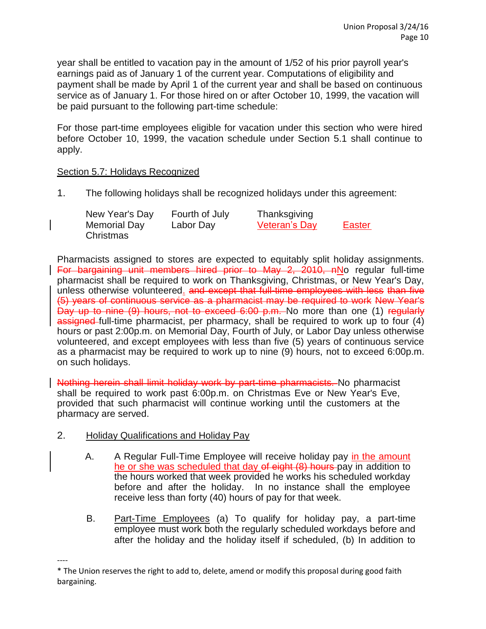year shall be entitled to vacation pay in the amount of 1/52 of his prior payroll year's earnings paid as of January 1 of the current year. Computations of eligibility and payment shall be made by April 1 of the current year and shall be based on continuous service as of January 1. For those hired on or after October 10, 1999, the vacation will be paid pursuant to the following part-time schedule:

For those part-time employees eligible for vacation under this section who were hired before October 10, 1999, the vacation schedule under Section 5.1 shall continue to apply.

## Section 5.7: Holidays Recognized

1. The following holidays shall be recognized holidays under this agreement:

| New Year's Day | Fourth of July | Thanksgiving  |               |
|----------------|----------------|---------------|---------------|
| Memorial Day   | Labor Day      | Veteran's Day | <b>Easter</b> |
| Christmas      |                |               |               |

Pharmacists assigned to stores are expected to equitably split holiday assignments. For bargaining unit members hired prior to May 2, 2010, nNo regular full-time pharmacist shall be required to work on Thanksgiving, Christmas, or New Year's Day, unless otherwise volunteered. and except that full-time employees with less than five (5) years of continuous service as a pharmacist may be required to work New Year's Day up to nine (9) hours, not to exceed 6:00 p.m. No more than one (1) regularly assigned full-time pharmacist, per pharmacy, shall be required to work up to four (4) hours or past 2:00p.m. on Memorial Day, Fourth of July, or Labor Day unless otherwise volunteered, and except employees with less than five (5) years of continuous service as a pharmacist may be required to work up to nine (9) hours, not to exceed 6:00p.m. on such holidays.

Nothing herein shall limit holiday work by part-time pharmacists. No pharmacist shall be required to work past 6:00p.m. on Christmas Eve or New Year's Eve, provided that such pharmacist will continue working until the customers at the pharmacy are served.

- 2. Holiday Qualifications and Holiday Pay
	- A. A Regular Full-Time Employee will receive holiday pay in the amount he or she was scheduled that day of eight (8) hours pay in addition to the hours worked that week provided he works his scheduled workday before and after the holiday. In no instance shall the employee receive less than forty (40) hours of pay for that week.
	- B. Part-Time Employees (a) To qualify for holiday pay, a part-time employee must work both the regularly scheduled workdays before and after the holiday and the holiday itself if scheduled, (b) In addition to

<sup>----</sup> \* The Union reserves the right to add to, delete, amend or modify this proposal during good faith bargaining.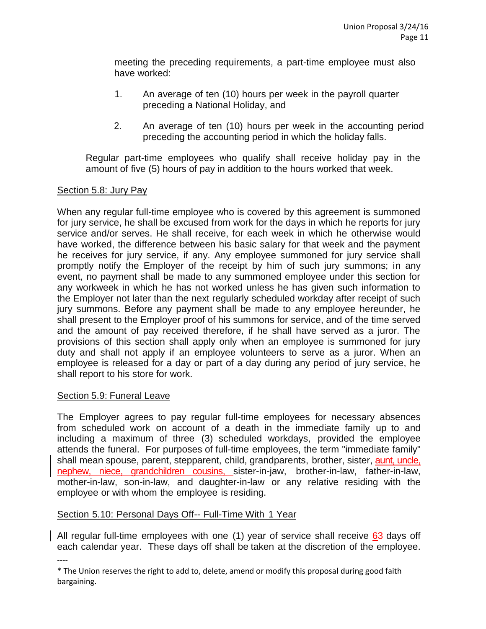meeting the preceding requirements, a part-time employee must also have worked:

- 1. An average of ten (10) hours per week in the payroll quarter preceding a National Holiday, and
- 2. An average of ten (10) hours per week in the accounting period preceding the accounting period in which the holiday falls.

Regular part-time employees who qualify shall receive holiday pay in the amount of five (5) hours of pay in addition to the hours worked that week.

# Section 5.8: Jury Pay

When any regular full-time employee who is covered by this agreement is summoned for jury service, he shall be excused from work for the days in which he reports for jury service and/or serves. He shall receive, for each week in which he otherwise would have worked, the difference between his basic salary for that week and the payment he receives for jury service, if any. Any employee summoned for jury service shall promptly notify the Employer of the receipt by him of such jury summons; in any event, no payment shall be made to any summoned employee under this section for any workweek in which he has not worked unless he has given such information to the Employer not later than the next regularly scheduled workday after receipt of such jury summons. Before any payment shall be made to any employee hereunder, he shall present to the Employer proof of his summons for service, and of the time served and the amount of pay received therefore, if he shall have served as a juror. The provisions of this section shall apply only when an employee is summoned for jury duty and shall not apply if an employee volunteers to serve as a juror. When an employee is released for a day or part of a day during any period of jury service, he shall report to his store for work.

# Section 5.9: Funeral Leave

The Employer agrees to pay regular full-time employees for necessary absences from scheduled work on account of a death in the immediate family up to and including a maximum of three (3) scheduled workdays, provided the employee attends the funeral. For purposes of full-time employees, the term "immediate family" shall mean spouse, parent, stepparent, child, grandparents, brother, sister, aunt, uncle, nephew, niece, grandchildren cousins, sister-in-jaw, brother-in-law, father-in-law, mother-in-law, son-in-law, and daughter-in-law or any relative residing with the employee or with whom the employee is residing.

# Section 5.10: Personal Days Off-- Full-Time With 1 Year

All regular full-time employees with one (1) year of service shall receive 63 days off each calendar year. These days off shall be taken at the discretion of the employee.

<sup>----</sup> \* The Union reserves the right to add to, delete, amend or modify this proposal during good faith bargaining.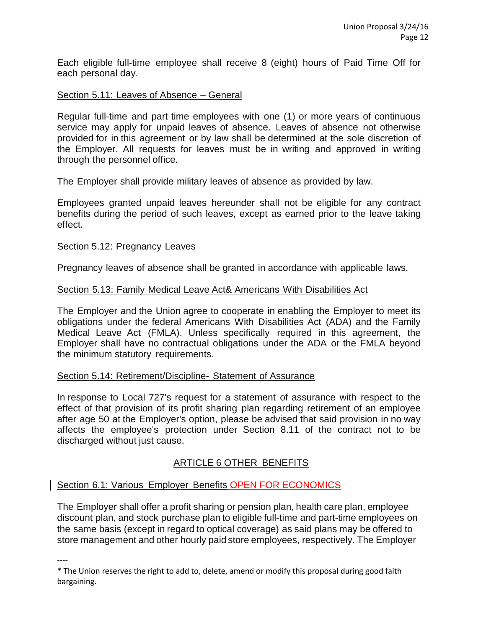Each eligible full-time employee shall receive 8 (eight) hours of Paid Time Off for each personal day.

## Section 5.11: Leaves of Absence – General

Regular full-time and part time employees with one (1) or more years of continuous service may apply for unpaid leaves of absence. Leaves of absence not otherwise provided for in this agreement or by law shall be determined at the sole discretion of the Employer. All requests for leaves must be in writing and approved in writing through the personnel office.

The Employer shall provide military leaves of absence as provided by law.

Employees granted unpaid leaves hereunder shall not be eligible for any contract benefits during the period of such leaves, except as earned prior to the leave taking effect.

## Section 5.12: Pregnancy Leaves

Pregnancy leaves of absence shall be granted in accordance with applicable laws.

#### Section 5.13: Family Medical Leave Act& Americans With Disabilities Act

The Employer and the Union agree to cooperate in enabling the Employer to meet its obligations under the federal Americans With Disabilities Act (ADA) and the Family Medical Leave Act (FMLA). Unless specifically required in this agreement, the Employer shall have no contractual obligations under the ADA or the FMLA beyond the minimum statutory requirements.

## Section 5.14: Retirement/Discipline- Statement of Assurance

In response to Local 727's request for a statement of assurance with respect to the effect of that provision of its profit sharing plan regarding retirement of an employee after age 50 at the Employer's option, please be advised that said provision in no way affects the employee's protection under Section 8.11 of the contract not to be discharged without just cause.

# ARTICLE 6 OTHER BENEFITS

## Section 6.1: Various Employer Benefits OPEN FOR ECONOMICS

The Employer shall offer a profit sharing or pension plan, health care plan, employee discount plan, and stock purchase plan to eligible full-time and part-time employees on the same basis (except in regard to optical coverage) as said plans may be offered to store management and other hourly paid store employees, respectively. The Employer

<sup>\*</sup> The Union reserves the right to add to, delete, amend or modify this proposal during good faith bargaining.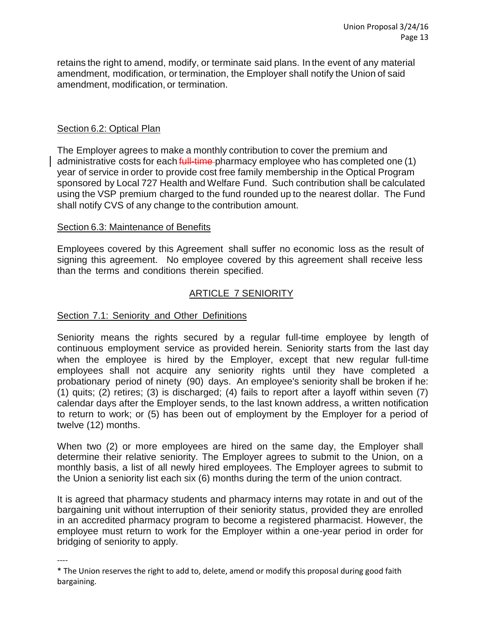retains the right to amend, modify, or terminate said plans. In the event of any material amendment, modification, or termination, the Employer shall notify the Union of said amendment, modification, or termination.

## Section 6.2: Optical Plan

----

The Employer agrees to make a monthly contribution to cover the premium and administrative costs for each full-time-pharmacy employee who has completed one (1) year of service in order to provide cost free family membership in the Optical Program sponsored by Local 727 Health and Welfare Fund. Such contribution shall be calculated using the VSP premium charged to the fund rounded up to the nearest dollar. The Fund shall notify CVS of any change to the contribution amount.

## Section 6.3: Maintenance of Benefits

Employees covered by this Agreement shall suffer no economic loss as the result of signing this agreement. No employee covered by this agreement shall receive less than the terms and conditions therein specified.

# ARTICLE 7 SENIORITY

#### Section 7.1: Seniority and Other Definitions

Seniority means the rights secured by a regular full-time employee by length of continuous employment service as provided herein. Seniority starts from the last day when the employee is hired by the Employer, except that new regular full-time employees shall not acquire any seniority rights until they have completed a probationary period of ninety (90) days. An employee's seniority shall be broken if he: (1) quits; (2) retires; (3) is discharged; (4) fails to report after a layoff within seven (7) calendar days after the Employer sends, to the last known address, a written notification to return to work; or (5) has been out of employment by the Employer for a period of twelve (12) months.

When two (2) or more employees are hired on the same day, the Employer shall determine their relative seniority. The Employer agrees to submit to the Union, on a monthly basis, a list of all newly hired employees. The Employer agrees to submit to the Union a seniority list each six (6) months during the term of the union contract.

It is agreed that pharmacy students and pharmacy interns may rotate in and out of the bargaining unit without interruption of their seniority status, provided they are enrolled in an accredited pharmacy program to become a registered pharmacist. However, the employee must return to work for the Employer within a one-year period in order for bridging of seniority to apply.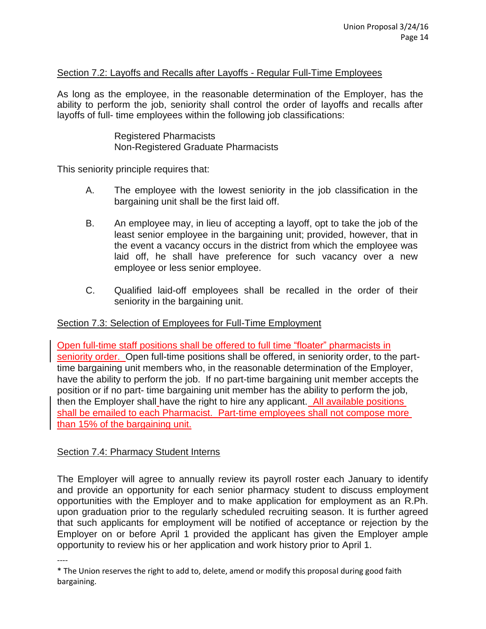## Section 7.2: Layoffs and Recalls after Layoffs - Regular Full-Time Employees

As long as the employee, in the reasonable determination of the Employer, has the ability to perform the job, seniority shall control the order of layoffs and recalls after layoffs of full- time employees within the following job classifications:

> Registered Pharmacists Non-Registered Graduate Pharmacists

This seniority principle requires that:

- A. The employee with the lowest seniority in the job classification in the bargaining unit shall be the first laid off.
- B. An employee may, in lieu of accepting a layoff, opt to take the job of the least senior employee in the bargaining unit; provided, however, that in the event a vacancy occurs in the district from which the employee was laid off, he shall have preference for such vacancy over a new employee or less senior employee.
- C. Qualified laid-off employees shall be recalled in the order of their seniority in the bargaining unit.

## Section 7.3: Selection of Employees for Full-Time Employment

Open full-time staff positions shall be offered to full time "floater" pharmacists in seniority order. Open full-time positions shall be offered, in seniority order, to the parttime bargaining unit members who, in the reasonable determination of the Employer, have the ability to perform the job. If no part-time bargaining unit member accepts the position or if no part- time bargaining unit member has the ability to perform the job, then the Employer shall have the right to hire any applicant. All available positions shall be emailed to each Pharmacist. Part-time employees shall not compose more than 15% of the bargaining unit.

## Section 7.4: Pharmacy Student Interns

The Employer will agree to annually review its payroll roster each January to identify and provide an opportunity for each senior pharmacy student to discuss employment opportunities with the Employer and to make application for employment as an R.Ph. upon graduation prior to the regularly scheduled recruiting season. It is further agreed that such applicants for employment will be notified of acceptance or rejection by the Employer on or before April 1 provided the applicant has given the Employer ample opportunity to review his or her application and work history prior to April 1.

<sup>----</sup>

<sup>\*</sup> The Union reserves the right to add to, delete, amend or modify this proposal during good faith bargaining.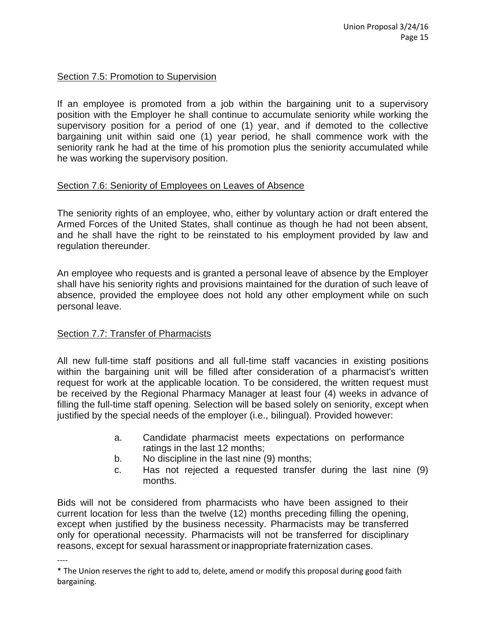## Section 7.5: Promotion to Supervision

If an employee is promoted from a job within the bargaining unit to a supervisory position with the Employer he shall continue to accumulate seniority while working the supervisory position for a period of one (1) year, and if demoted to the collective bargaining unit within said one (1) year period, he shall commence work with the seniority rank he had at the time of his promotion plus the seniority accumulated while he was working the supervisory position.

## Section 7.6: Seniority of Employees on Leaves of Absence

The seniority rights of an employee, who, either by voluntary action or draft entered the Armed Forces of the United States, shall continue as though he had not been absent, and he shall have the right to be reinstated to his employment provided by law and regulation thereunder.

An employee who requests and is granted a personal leave of absence by the Employer shall have his seniority rights and provisions maintained for the duration of such leave of absence, provided the employee does not hold any other employment while on such personal leave.

## Section 7.7: Transfer of Pharmacists

----

All new full-time staff positions and all full-time staff vacancies in existing positions within the bargaining unit will be filled after consideration of a pharmacist's written request for work at the applicable location. To be considered, the written request must be received by the Regional Pharmacy Manager at least four (4) weeks in advance of filling the full-time staff opening. Selection will be based solely on seniority, except when justified by the special needs of the employer (i.e., bilingual). Provided however:

- a. Candidate pharmacist meets expectations on performance ratings in the last 12 months;
- b. No discipline in the last nine (9) months;
- c. Has not rejected a requested transfer during the last nine (9) months.

Bids will not be considered from pharmacists who have been assigned to their current location for less than the twelve (12) months preceding filling the opening, except when justified by the business necessity. Pharmacists may be transferred only for operational necessity. Pharmacists will not be transferred for disciplinary reasons, except for sexual harassment or inappropriate fraternization cases.

<sup>\*</sup> The Union reserves the right to add to, delete, amend or modify this proposal during good faith bargaining.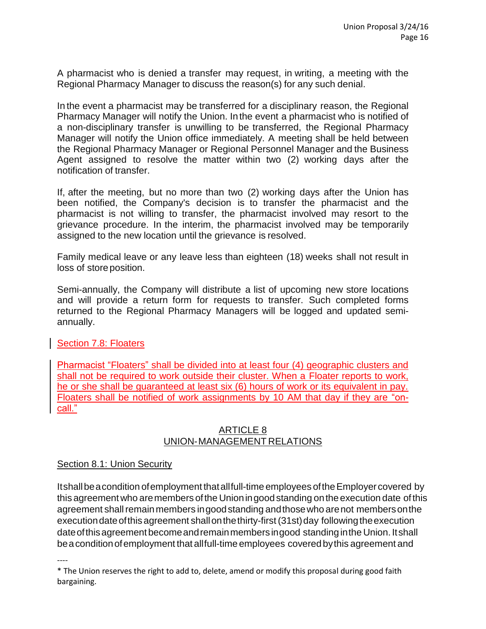A pharmacist who is denied a transfer may request, in writing, a meeting with the Regional Pharmacy Manager to discuss the reason(s) for any such denial.

In the event a pharmacist may be transferred for a disciplinary reason, the Regional Pharmacy Manager will notify the Union. Inthe event a pharmacist who is notified of a non-disciplinary transfer is unwilling to be transferred, the Regional Pharmacy Manager will notify the Union office immediately. A meeting shall be held between the Regional Pharmacy Manager or Regional Personnel Manager and the Business Agent assigned to resolve the matter within two (2) working days after the notification of transfer.

If, after the meeting, but no more than two (2) working days after the Union has been notified, the Company's decision is to transfer the pharmacist and the pharmacist is not willing to transfer, the pharmacist involved may resort to the grievance procedure. In the interim, the pharmacist involved may be temporarily assigned to the new location until the grievance is resolved.

Family medical leave or any leave less than eighteen (18) weeks shall not result in loss of store position.

Semi-annually, the Company will distribute a list of upcoming new store locations and will provide a return form for requests to transfer. Such completed forms returned to the Regional Pharmacy Managers will be logged and updated semiannually.

## Section 7.8: Floaters

Pharmacist "Floaters" shall be divided into at least four (4) geographic clusters and shall not be required to work outside their cluster. When a Floater reports to work, he or she shall be guaranteed at least six (6) hours of work or its equivalent in pay. Floaters shall be notified of work assignments by 10 AM that day if they are "oncall."

## ARTICLE 8 UNION-MANAGEMENT RELATIONS

## Section 8.1: Union Security

Itshallbeacondition ofemployment thatallfull-time employees oftheEmployercovered by this agreement who aremembers of the Union in good standing on the execution date of this agreement shall remain members in good standing and those who are not members on the executiondateofthisagreement shallonthethirty-first(31st)day followingtheexecution dateofthisagreement becomeandremainmembers ingood standing inthe Union. Itshall beaconditionofemployment that allfull-time employees covered bythis agreement and

<sup>\*</sup> The Union reserves the right to add to, delete, amend or modify this proposal during good faith bargaining.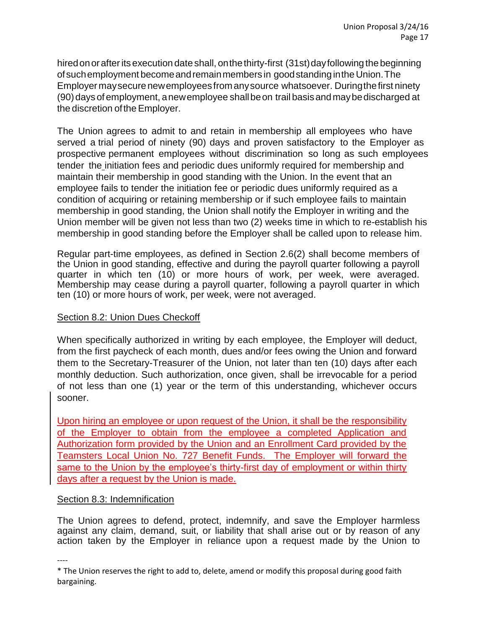hired on or after its execution date shall, on the thirty-first (31st) day following the beginning ofsuchemployment becomeandremainmembers in goodstanding inthe Union.The Employer may secure new employees from any source whatsoever. During the first ninety (90)days of employment, anewemployee shallbeon trail basisandmaybedischarged at the discretion of the Employer.

The Union agrees to admit to and retain in membership all employees who have served a trial period of ninety (90) days and proven satisfactory to the Employer as prospective permanent employees without discrimination so long as such employees tender the initiation fees and periodic dues uniformly required for membership and maintain their membership in good standing with the Union. In the event that an employee fails to tender the initiation fee or periodic dues uniformly required as a condition of acquiring or retaining membership or if such employee fails to maintain membership in good standing, the Union shall notify the Employer in writing and the Union member will be given not less than two (2) weeks time in which to re-establish his membership in good standing before the Employer shall be called upon to release him.

Regular part-time employees, as defined in Section 2.6(2) shall become members of the Union in good standing, effective and during the payroll quarter following a payroll quarter in which ten (10) or more hours of work, per week, were averaged. Membership may cease during a payroll quarter, following a payroll quarter in which ten (10) or more hours of work, per week, were not averaged.

# Section 8.2: Union Dues Checkoff

When specifically authorized in writing by each employee, the Employer will deduct, from the first paycheck of each month, dues and/or fees owing the Union and forward them to the Secretary-Treasurer of the Union, not later than ten (10) days after each monthly deduction. Such authorization, once given, shall be irrevocable for a period of not less than one (1) year or the term of this understanding, whichever occurs sooner.

Upon hiring an employee or upon request of the Union, it shall be the responsibility of the Employer to obtain from the employee a completed Application and Authorization form provided by the Union and an Enrollment Card provided by the Teamsters Local Union No. 727 Benefit Funds. The Employer will forward the same to the Union by the employee's thirty-first day of employment or within thirty days after a request by the Union is made.

## Section 8.3: Indemnification

The Union agrees to defend, protect, indemnify, and save the Employer harmless against any claim, demand, suit, or liability that shall arise out or by reason of any action taken by the Employer in reliance upon a request made by the Union to

<sup>\*</sup> The Union reserves the right to add to, delete, amend or modify this proposal during good faith bargaining.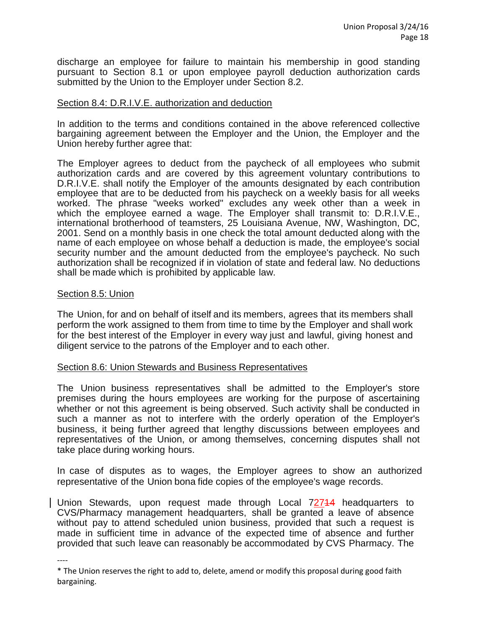discharge an employee for failure to maintain his membership in good standing pursuant to Section 8.1 or upon employee payroll deduction authorization cards submitted by the Union to the Employer under Section 8.2.

#### Section 8.4: D.R.I.V.E. authorization and deduction

In addition to the terms and conditions contained in the above referenced collective bargaining agreement between the Employer and the Union, the Employer and the Union hereby further agree that:

The Employer agrees to deduct from the paycheck of all employees who submit authorization cards and are covered by this agreement voluntary contributions to D.R.I.V.E. shall notify the Employer of the amounts designated by each contribution employee that are to be deducted from his paycheck on a weekly basis for all weeks worked. The phrase "weeks worked" excludes any week other than a week in which the employee earned a wage. The Employer shall transmit to: D.R.I.V.E., international brotherhood of teamsters, 25 Louisiana Avenue, NW, Washington, DC, 2001. Send on a monthly basis in one check the total amount deducted along with the name of each employee on whose behalf a deduction is made, the employee's social security number and the amount deducted from the employee's paycheck. No such authorization shall be recognized if in violation of state and federal law. No deductions shall be made which is prohibited by applicable law.

#### Section 8.5: Union

----

The Union, for and on behalf of itself and its members, agrees that its members shall perform the work assigned to them from time to time by the Employer and shall work for the best interest of the Employer in every way just and lawful, giving honest and diligent service to the patrons of the Employer and to each other.

#### Section 8.6: Union Stewards and Business Representatives

The Union business representatives shall be admitted to the Employer's store premises during the hours employees are working for the purpose of ascertaining whether or not this agreement is being observed. Such activity shall be conducted in such a manner as not to interfere with the orderly operation of the Employer's business, it being further agreed that lengthy discussions between employees and representatives of the Union, or among themselves, concerning disputes shall not take place during working hours.

In case of disputes as to wages, the Employer agrees to show an authorized representative of the Union bona fide copies of the employee's wage records.

Union Stewards, upon request made through Local 72714 headquarters to CVS/Pharmacy management headquarters, shall be granted a leave of absence without pay to attend scheduled union business, provided that such a request is made in sufficient time in advance of the expected time of absence and further provided that such leave can reasonably be accommodated by CVS Pharmacy. The

<sup>\*</sup> The Union reserves the right to add to, delete, amend or modify this proposal during good faith bargaining.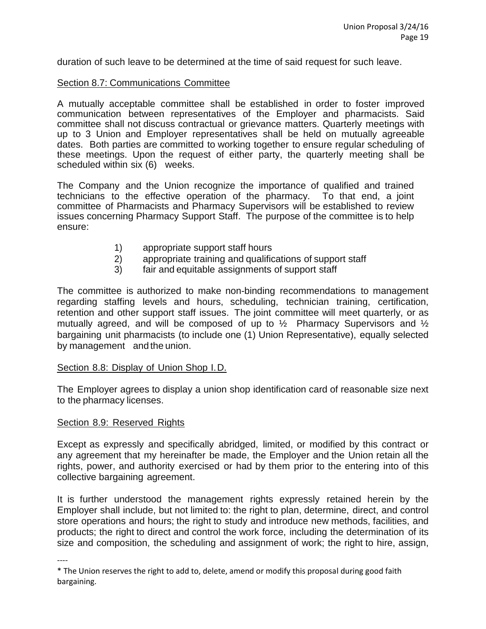duration of such leave to be determined at the time of said request for such leave.

#### Section 8.7: Communications Committee

A mutually acceptable committee shall be established in order to foster improved communication between representatives of the Employer and pharmacists. Said committee shall not discuss contractual or grievance matters. Quarterly meetings with up to 3 Union and Employer representatives shall be held on mutually agreeable dates. Both parties are committed to working together to ensure regular scheduling of these meetings. Upon the request of either party, the quarterly meeting shall be scheduled within six (6) weeks.

The Company and the Union recognize the importance of qualified and trained technicians to the effective operation of the pharmacy. To that end, a joint committee of Pharmacists and Pharmacy Supervisors will be established to review issues concerning Pharmacy Support Staff. The purpose of the committee is to help ensure:

- 1) appropriate support staff hours
- 2) appropriate training and qualifications of support staff
- 3) fair and equitable assignments of support staff

The committee is authorized to make non-binding recommendations to management regarding staffing levels and hours, scheduling, technician training, certification, retention and other support staff issues. The joint committee will meet quarterly, or as mutually agreed, and will be composed of up to ½ Pharmacy Supervisors and ½ bargaining unit pharmacists (to include one (1) Union Representative), equally selected by management and the union.

## Section 8.8: Display of Union Shop I.D.

The Employer agrees to display a union shop identification card of reasonable size next to the pharmacy licenses.

## Section 8.9: Reserved Rights

Except as expressly and specifically abridged, limited, or modified by this contract or any agreement that my hereinafter be made, the Employer and the Union retain all the rights, power, and authority exercised or had by them prior to the entering into of this collective bargaining agreement.

It is further understood the management rights expressly retained herein by the Employer shall include, but not limited to: the right to plan, determine, direct, and control store operations and hours; the right to study and introduce new methods, facilities, and products; the right to direct and control the work force, including the determination of its size and composition, the scheduling and assignment of work; the right to hire, assign,

<sup>\*</sup> The Union reserves the right to add to, delete, amend or modify this proposal during good faith bargaining.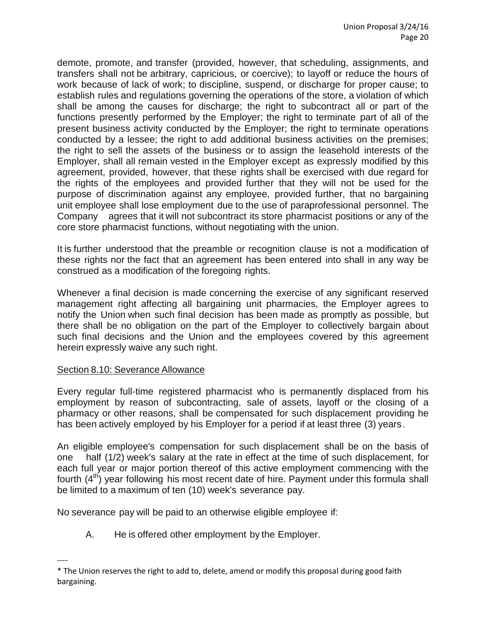demote, promote, and transfer (provided, however, that scheduling, assignments, and transfers shall not be arbitrary, capricious, or coercive); to layoff or reduce the hours of work because of lack of work; to discipline, suspend, or discharge for proper cause; to establish rules and regulations governing the operations of the store, a violation of which shall be among the causes for discharge; the right to subcontract all or part of the functions presently performed by the Employer; the right to terminate part of all of the present business activity conducted by the Employer; the right to terminate operations conducted by a lessee; the right to add additional business activities on the premises; the right to sell the assets of the business or to assign the leasehold interests of the Employer, shall all remain vested in the Employer except as expressly modified by this agreement, provided, however, that these rights shall be exercised with due regard for the rights of the employees and provided further that they will not be used for the purpose of discrimination against any employee, provided further, that no bargaining unit employee shall lose employment due to the use of paraprofessional personnel. The Company agrees that it will not subcontract its store pharmacist positions or any of the core store pharmacist functions, without negotiating with the union.

It is further understood that the preamble or recognition clause is not a modification of these rights nor the fact that an agreement has been entered into shall in any way be construed as a modification of the foregoing rights.

Whenever a final decision is made concerning the exercise of any significant reserved management right affecting all bargaining unit pharmacies, the Employer agrees to notify the Union when such final decision has been made as promptly as possible, but there shall be no obligation on the part of the Employer to collectively bargain about such final decisions and the Union and the employees covered by this agreement herein expressly waive any such right.

## Section 8.10: Severance Allowance

Every regular full-time registered pharmacist who is permanently displaced from his employment by reason of subcontracting, sale of assets, layoff or the closing of a pharmacy or other reasons, shall be compensated for such displacement providing he has been actively employed by his Employer for a period if at least three (3) years.

An eligible employee's compensation for such displacement shall be on the basis of one half (1/2) week's salary at the rate in effect at the time of such displacement, for each full year or major portion thereof of this active employment commencing with the fourth  $(4<sup>th</sup>)$  year following his most recent date of hire. Payment under this formula shall be limited to a maximum of ten (10) week's severance pay.

No severance pay will be paid to an otherwise eligible employee if:

A. He is offered other employment by the Employer.

<sup>----</sup> \* The Union reserves the right to add to, delete, amend or modify this proposal during good faith bargaining.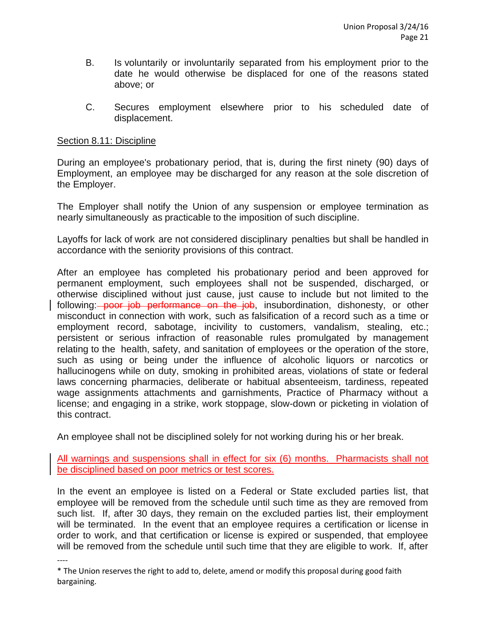- B. Is voluntarily or involuntarily separated from his employment prior to the date he would otherwise be displaced for one of the reasons stated above; or
- C. Secures employment elsewhere prior to his scheduled date of displacement.

## Section 8.11: Discipline

During an employee's probationary period, that is, during the first ninety (90) days of Employment, an employee may be discharged for any reason at the sole discretion of the Employer.

The Employer shall notify the Union of any suspension or employee termination as nearly simultaneously as practicable to the imposition of such discipline.

Layoffs for lack of work are not considered disciplinary penalties but shall be handled in accordance with the seniority provisions of this contract.

After an employee has completed his probationary period and been approved for permanent employment, such employees shall not be suspended, discharged, or otherwise disciplined without just cause, just cause to include but not limited to the following: poor job performance on the job, insubordination, dishonesty, or other misconduct in connection with work, such as falsification of a record such as a time or employment record, sabotage, incivility to customers, vandalism, stealing, etc.; persistent or serious infraction of reasonable rules promulgated by management relating to the health, safety, and sanitation of employees or the operation of the store, such as using or being under the influence of alcoholic liquors or narcotics or hallucinogens while on duty, smoking in prohibited areas, violations of state or federal laws concerning pharmacies, deliberate or habitual absenteeism, tardiness, repeated wage assignments attachments and garnishments, Practice of Pharmacy without a license; and engaging in a strike, work stoppage, slow-down or picketing in violation of this contract.

An employee shall not be disciplined solely for not working during his or her break.

All warnings and suspensions shall in effect for six (6) months. Pharmacists shall not be disciplined based on poor metrics or test scores.

In the event an employee is listed on a Federal or State excluded parties list, that employee will be removed from the schedule until such time as they are removed from such list. If, after 30 days, they remain on the excluded parties list, their employment will be terminated. In the event that an employee requires a certification or license in order to work, and that certification or license is expired or suspended, that employee will be removed from the schedule until such time that they are eligible to work. If, after

<sup>----</sup>

<sup>\*</sup> The Union reserves the right to add to, delete, amend or modify this proposal during good faith bargaining.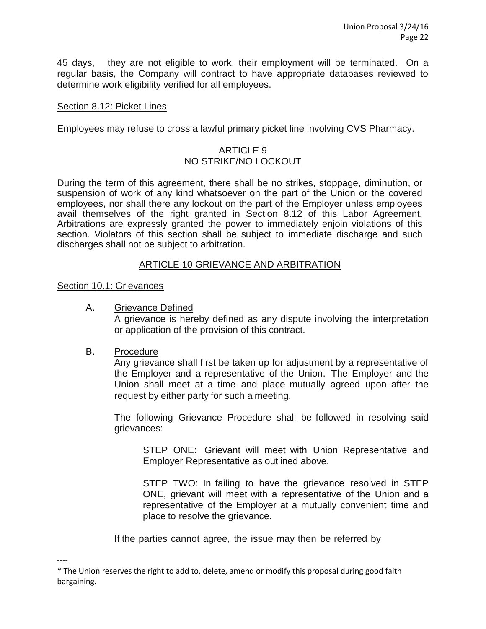45 days, they are not eligible to work, their employment will be terminated. On a regular basis, the Company will contract to have appropriate databases reviewed to determine work eligibility verified for all employees.

#### Section 8.12: Picket Lines

Employees may refuse to cross a lawful primary picket line involving CVS Pharmacy.

#### ARTICLE 9 NO STRIKE/NO LOCKOUT

During the term of this agreement, there shall be no strikes, stoppage, diminution, or suspension of work of any kind whatsoever on the part of the Union or the covered employees, nor shall there any lockout on the part of the Employer unless employees avail themselves of the right granted in Section 8.12 of this Labor Agreement. Arbitrations are expressly granted the power to immediately enjoin violations of this section. Violators of this section shall be subject to immediate discharge and such discharges shall not be subject to arbitration.

## ARTICLE 10 GRIEVANCE AND ARBITRATION

#### Section 10.1: Grievances

A. Grievance Defined

A grievance is hereby defined as any dispute involving the interpretation or application of the provision of this contract.

#### B. Procedure

----

Any grievance shall first be taken up for adjustment by a representative of the Employer and a representative of the Union. The Employer and the Union shall meet at a time and place mutually agreed upon after the request by either party for such a meeting.

The following Grievance Procedure shall be followed in resolving said grievances:

STEP ONE: Grievant will meet with Union Representative and Employer Representative as outlined above.

STEP TWO: In failing to have the grievance resolved in STEP ONE, grievant will meet with a representative of the Union and a representative of the Employer at a mutually convenient time and place to resolve the grievance.

If the parties cannot agree, the issue may then be referred by

<sup>\*</sup> The Union reserves the right to add to, delete, amend or modify this proposal during good faith bargaining.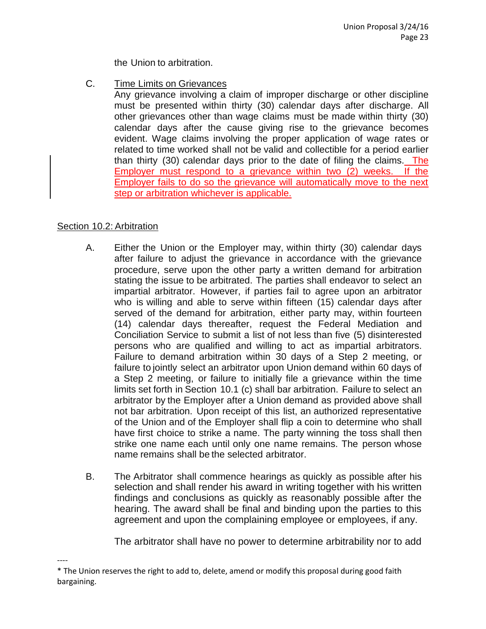the Union to arbitration.

C. Time Limits on Grievances

Any grievance involving a claim of improper discharge or other discipline must be presented within thirty (30) calendar days after discharge. All other grievances other than wage claims must be made within thirty (30) calendar days after the cause giving rise to the grievance becomes evident. Wage claims involving the proper application of wage rates or related to time worked shall not be valid and collectible for a period earlier than thirty (30) calendar days prior to the date of filing the claims. The Employer must respond to a grievance within two (2) weeks. If the Employer fails to do so the grievance will automatically move to the next step or arbitration whichever is applicable.

# Section 10.2: Arbitration

- A. Either the Union or the Employer may, within thirty (30) calendar days after failure to adjust the grievance in accordance with the grievance procedure, serve upon the other party a written demand for arbitration stating the issue to be arbitrated. The parties shall endeavor to select an impartial arbitrator. However, if parties fail to agree upon an arbitrator who is willing and able to serve within fifteen (15) calendar days after served of the demand for arbitration, either party may, within fourteen (14) calendar days thereafter, request the Federal Mediation and Conciliation Service to submit a list of not less than five (5) disinterested persons who are qualified and willing to act as impartial arbitrators. Failure to demand arbitration within 30 days of a Step 2 meeting, or failure to jointly select an arbitrator upon Union demand within 60 days of a Step 2 meeting, or failure to initially file a grievance within the time limits set forth in Section 10.1 (c) shall bar arbitration. Failure to select an arbitrator by the Employer after a Union demand as provided above shall not bar arbitration. Upon receipt of this list, an authorized representative of the Union and of the Employer shall flip a coin to determine who shall have first choice to strike a name. The party winning the toss shall then strike one name each until only one name remains. The person whose name remains shall be the selected arbitrator.
- B. The Arbitrator shall commence hearings as quickly as possible after his selection and shall render his award in writing together with his written findings and conclusions as quickly as reasonably possible after the hearing. The award shall be final and binding upon the parties to this agreement and upon the complaining employee or employees, if any.

The arbitrator shall have no power to determine arbitrability nor to add

<sup>----</sup> \* The Union reserves the right to add to, delete, amend or modify this proposal during good faith bargaining.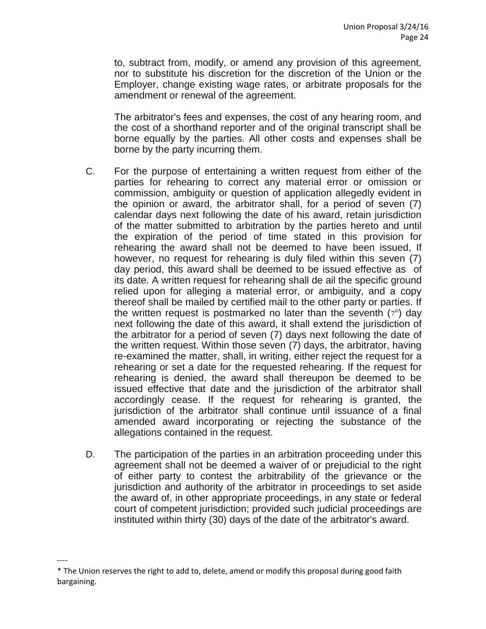to, subtract from, modify, or amend any provision of this agreement, nor to substitute his discretion for the discretion of the Union or the Employer, change existing wage rates, or arbitrate proposals for the amendment or renewal of the agreement.

The arbitrator's fees and expenses, the cost of any hearing room, and the cost of a shorthand reporter and of the original transcript shall be borne equally by the parties. All other costs and expenses shall be borne by the party incurring them.

- C. For the purpose of entertaining a written request from either of the parties for rehearing to correct any material error or omission or commission, ambiguity or question of application allegedly evident in the opinion or award, the arbitrator shall, for a period of seven (7) calendar days next following the date of his award, retain jurisdiction of the matter submitted to arbitration by the parties hereto and until the expiration of the period of time stated in this provision for rehearing the award shall not be deemed to have been issued, If however, no request for rehearing is duly filed within this seven (7) day period, this award shall be deemed to be issued effective as of its date. A written request for rehearing shall de ail the specific ground relied upon for alleging a material error, or ambiguity, and a copy thereof shall be mailed by certified mail to the other party or parties. If the written request is postmarked no later than the seventh  $(7<sup>th</sup>)$  day next following the date of this award, it shall extend the jurisdiction of the arbitrator for a period of seven (7) days next following the date of the written request. Within those seven (7) days, the arbitrator, having re-examined the matter, shall, in writing, either reject the request for a rehearing or set a date for the requested rehearing. If the request for rehearing is denied, the award shall thereupon be deemed to be issued effective that date and the jurisdiction of the arbitrator shall accordingly cease. If the request for rehearing is granted, the jurisdiction of the arbitrator shall continue until issuance of a final amended award incorporating or rejecting the substance of the allegations contained in the request.
- D. The participation of the parties in an arbitration proceeding under this agreement shall not be deemed a waiver of or prejudicial to the right of either party to contest the arbitrability of the grievance or the jurisdiction and authority of the arbitrator in proceedings to set aside the award of, in other appropriate proceedings, in any state or federal court of competent jurisdiction; provided such judicial proceedings are instituted within thirty (30) days of the date of the arbitrator's award.

<sup>\*</sup> The Union reserves the right to add to, delete, amend or modify this proposal during good faith bargaining.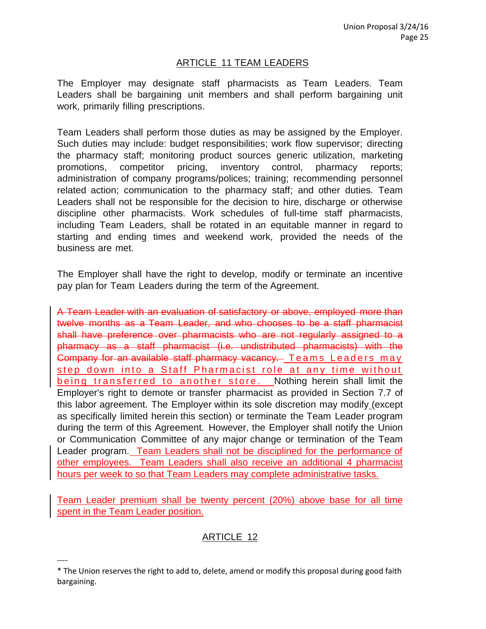## ARTICLE 11 TEAM LEADERS

The Employer may designate staff pharmacists as Team Leaders. Team Leaders shall be bargaining unit members and shall perform bargaining unit work, primarily filling prescriptions.

Team Leaders shall perform those duties as may be assigned by the Employer. Such duties may include: budget responsibilities; work flow supervisor; directing the pharmacy staff; monitoring product sources generic utilization, marketing promotions, competitor pricing, inventory control, pharmacy reports; administration of company programs/polices; training; recommending personnel related action; communication to the pharmacy staff; and other duties. Team Leaders shall not be responsible for the decision to hire, discharge or otherwise discipline other pharmacists. Work schedules of full-time staff pharmacists, including Team Leaders, shall be rotated in an equitable manner in regard to starting and ending times and weekend work, provided the needs of the business are met.

The Employer shall have the right to develop, modify or terminate an incentive pay plan for Team Leaders during the term of the Agreement.

A Team Leader with an evaluation of satisfactory or above, employed more than twelve months as a Team Leader, and who chooses to be a staff pharmacist shall have preference over pharmacists who are not regularly assigned to a pharmacy as a staff pharmacist (i.e. undistributed pharmacists) with the Company for an available staff pharmacy vacancy. Teams Leaders may step down into a Staff Pharmacist role at any time without being transferred to another store. Nothing herein shall limit the Employer's right to demote or transfer pharmacist as provided in Section 7.7 of this labor agreement. The Employer within its sole discretion may modify (except as specifically limited herein this section) or terminate the Team Leader program during the term of this Agreement. However, the Employer shall notify the Union or Communication Committee of any major change or termination of the Team Leader program. Team Leaders shall not be disciplined for the performance of other employees. Team Leaders shall also receive an additional 4 pharmacist hours per week to so that Team Leaders may complete administrative tasks.

Team Leader premium shall be twenty percent (20%) above base for all time spent in the Team Leader position.

# ARTICLE 12

----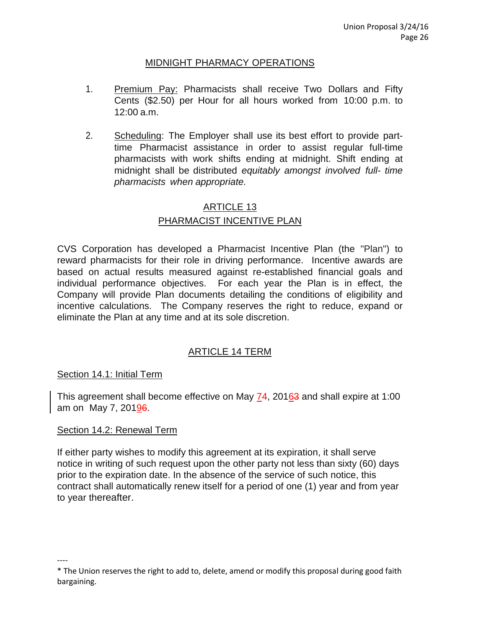## MIDNIGHT PHARMACY OPERATIONS

- 1. Premium Pay: Pharmacists shall receive Two Dollars and Fifty Cents (\$2.50) per Hour for all hours worked from 10:00 p.m. to 12:00 a.m.
- 2. Scheduling: The Employer shall use its best effort to provide parttime Pharmacist assistance in order to assist regular full-time pharmacists with work shifts ending at midnight. Shift ending at midnight shall be distributed *equitably amongst involved full- time pharmacists when appropriate.*

# ARTICLE 13 PHARMACIST INCENTIVE PLAN

CVS Corporation has developed a Pharmacist Incentive Plan (the "Plan") to reward pharmacists for their role in driving performance. Incentive awards are based on actual results measured against re-established financial goals and individual performance objectives. For each year the Plan is in effect, the Company will provide Plan documents detailing the conditions of eligibility and incentive calculations. The Company reserves the right to reduce, expand or eliminate the Plan at any time and at its sole discretion.

# ARTICLE 14 TERM

## Section 14.1: Initial Term

This agreement shall become effective on May 74, 20163 and shall expire at 1:00 am on May 7, 20196.

## Section 14.2: Renewal Term

----

If either party wishes to modify this agreement at its expiration, it shall serve notice in writing of such request upon the other party not less than sixty (60) days prior to the expiration date. In the absence of the service of such notice, this contract shall automatically renew itself for a period of one (1) year and from year to year thereafter.

<sup>\*</sup> The Union reserves the right to add to, delete, amend or modify this proposal during good faith bargaining.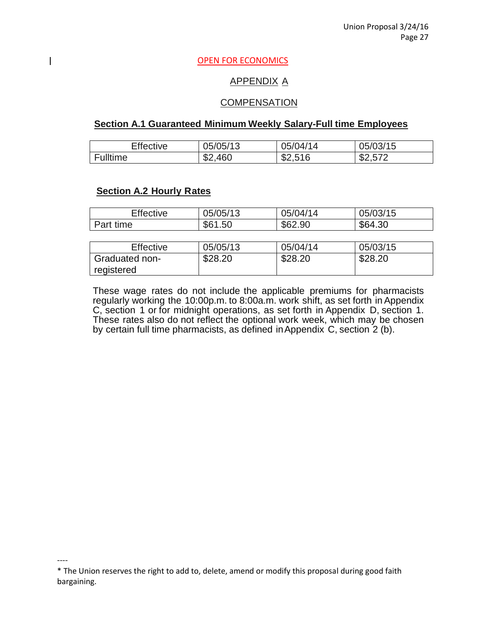#### **OPEN FOR ECONOMICS**

## APPENDIX A

#### **COMPENSATION**

#### **Section A.1 Guaranteed Minimum Weekly Salary-Full time Employees**

| <b>Effective</b> | 05/05/13 | 05/04/14 | 05/03/15 |
|------------------|----------|----------|----------|
| Fulltime         | \$2,460  | \$2,516  | \$2,572  |

## **Section A.2 Hourly Rates**

----

 $\overline{\phantom{a}}$ 

| <b>Effective</b>             | 05/05/13 | 05/04/14 | 05/03/15 |
|------------------------------|----------|----------|----------|
| Part time                    | \$61.50  | \$62.90  | \$64.30  |
|                              |          |          |          |
| Effective                    | 05/05/13 | 05/04/14 | 05/03/15 |
| Graduated non-<br>registered | \$28.20  | \$28.20  | \$28.20  |

These wage rates do not include the applicable premiums for pharmacists regularly working the 10:00p.m. to 8:00a.m. work shift, as set forth inAppendix C, section 1 or for midnight operations, as set forth in Appendix D, section 1. These rates also do not reflect the optional work week, which may be chosen by certain full time pharmacists, as defined inAppendix C, section 2 (b).

<sup>\*</sup> The Union reserves the right to add to, delete, amend or modify this proposal during good faith bargaining.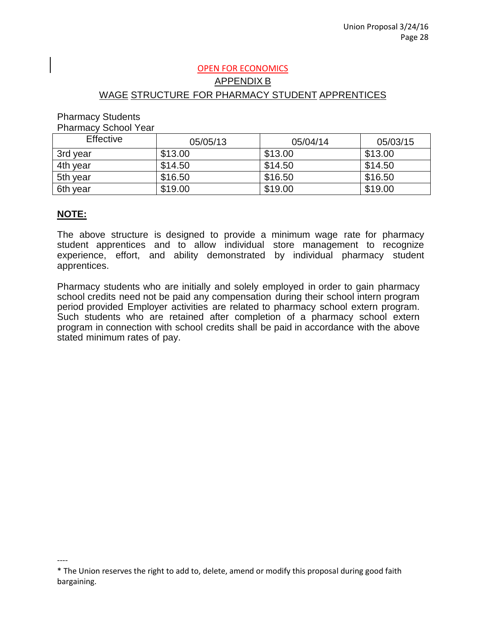# OPEN FOR ECONOMICS APPENDIX B WAGE STRUCTURE FOR PHARMACY STUDENT APPRENTICES

#### Pharmacy Students

Pharmacy School Year

| <b>Effective</b> | 05/05/13 | 05/04/14 | 05/03/15 |
|------------------|----------|----------|----------|
| 3rd year         | \$13.00  | \$13.00  | \$13.00  |
| 4th year         | \$14.50  | \$14.50  | \$14.50  |
| 5th year         | \$16.50  | \$16.50  | \$16.50  |
| 6th year         | \$19.00  | \$19.00  | \$19.00  |

## **NOTE:**

----

The above structure is designed to provide a minimum wage rate for pharmacy student apprentices and to allow individual store management to recognize experience, effort, and ability demonstrated by individual pharmacy student apprentices.

Pharmacy students who are initially and solely employed in order to gain pharmacy school credits need not be paid any compensation during their school intern program period provided Employer activities are related to pharmacy school extern program. Such students who are retained after completion of a pharmacy school extern program in connection with school credits shall be paid in accordance with the above stated minimum rates of pay.

<sup>\*</sup> The Union reserves the right to add to, delete, amend or modify this proposal during good faith bargaining.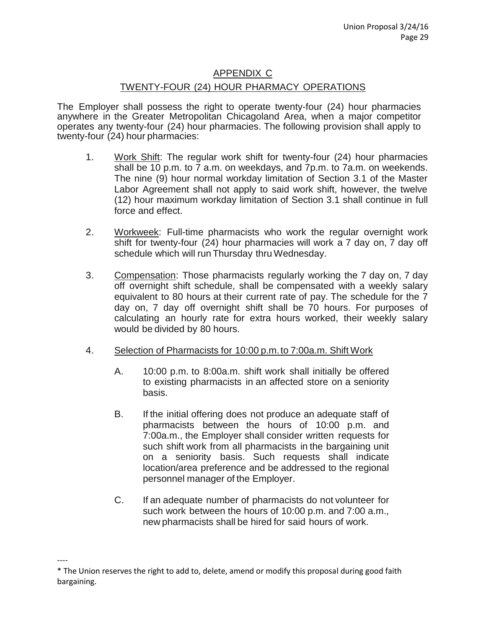# APPENDIX C TWENTY-FOUR (24) HOUR PHARMACY OPERATIONS

The Employer shall possess the right to operate twenty-four (24) hour pharmacies anywhere in the Greater Metropolitan Chicagoland Area, when a major competitor operates any twenty-four (24) hour pharmacies. The following provision shall apply to twenty-four (24) hour pharmacies:

- 1. Work Shift: The regular work shift for twenty-four (24) hour pharmacies shall be 10 p.m. to 7 a.m. on weekdays, and 7p.m. to 7a.m. on weekends. The nine (9) hour normal workday limitation of Section 3.1 of the Master Labor Agreement shall not apply to said work shift, however, the twelve (12) hour maximum workday limitation of Section 3.1 shall continue in full force and effect.
- 2. Workweek: Full-time pharmacists who work the regular overnight work shift for twenty-four (24) hour pharmacies will work a 7 day on, 7 day off schedule which will run Thursday thru Wednesday.
- 3. Compensation: Those pharmacists regularly working the 7 day on, 7 day off overnight shift schedule, shall be compensated with a weekly salary equivalent to 80 hours at their current rate of pay. The schedule for the 7 day on, 7 day off overnight shift shall be 70 hours. For purposes of calculating an hourly rate for extra hours worked, their weekly salary would be divided by 80 hours.
- 4. Selection of Pharmacists for 10:00 p.m.to 7:00a.m. Shift Work
	- A. 10:00 p.m. to 8:00a.m. shift work shall initially be offered to existing pharmacists in an affected store on a seniority basis.
	- B. If the initial offering does not produce an adequate staff of pharmacists between the hours of 10:00 p.m. and 7:00a.m., the Employer shall consider written requests for such shift work from all pharmacists in the bargaining unit on a seniority basis. Such requests shall indicate location/area preference and be addressed to the regional personnel manager of the Employer.
	- C. If an adequate number of pharmacists do not volunteer for such work between the hours of 10:00 p.m. and 7:00 a.m., new pharmacists shall be hired for said hours of work.

<sup>\*</sup> The Union reserves the right to add to, delete, amend or modify this proposal during good faith bargaining.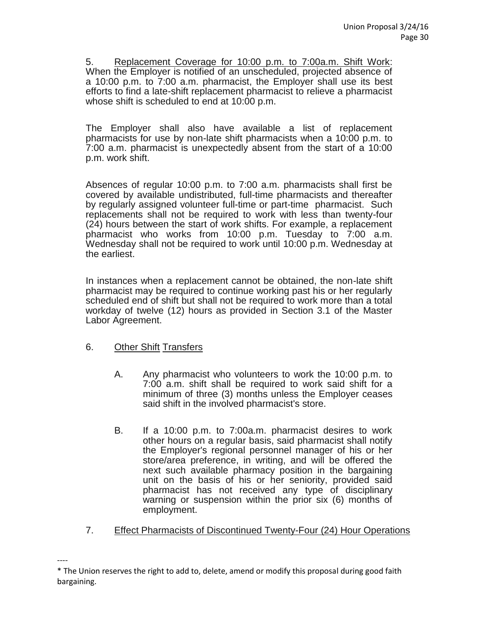5. Replacement Coverage for 10:00 p.m. to 7:00a.m. Shift Work: When the Employer is notified of an unscheduled, projected absence of a 10:00 p.m. to 7:00 a.m. pharmacist, the Employer shall use its best efforts to find a late-shift replacement pharmacist to relieve a pharmacist whose shift is scheduled to end at 10:00 p.m.

The Employer shall also have available a list of replacement pharmacists for use by non-late shift pharmacists when a 10:00 p.m. to 7:00 a.m. pharmacist is unexpectedly absent from the start of a 10:00 p.m. work shift.

Absences of regular 10:00 p.m. to 7:00 a.m. pharmacists shall first be covered by available undistributed, full-time pharmacists and thereafter by regularly assigned volunteer full-time or part-time pharmacist. Such replacements shall not be required to work with less than twenty-four (24) hours between the start of work shifts. For example, a replacement pharmacist who works from 10:00 p.m. Tuesday to 7:00 a.m. Wednesday shall not be required to work until 10:00 p.m. Wednesday at the earliest.

In instances when a replacement cannot be obtained, the non-late shift pharmacist may be required to continue working past his or her regularly scheduled end of shift but shall not be required to work more than a total workday of twelve (12) hours as provided in Section 3.1 of the Master Labor Agreement.

- 6. Other Shift Transfers
	- A. Any pharmacist who volunteers to work the 10:00 p.m. to 7:00 a.m. shift shall be required to work said shift for a minimum of three (3) months unless the Employer ceases said shift in the involved pharmacist's store.
	- B. If a 10:00 p.m. to 7:00a.m. pharmacist desires to work other hours on a regular basis, said pharmacist shall notify the Employer's regional personnel manager of his or her store/area preference, in writing, and will be offered the next such available pharmacy position in the bargaining unit on the basis of his or her seniority, provided said pharmacist has not received any type of disciplinary warning or suspension within the prior six (6) months of employment.
- 7. Effect Pharmacists of Discontinued Twenty-Four (24) Hour Operations

<sup>----</sup> \* The Union reserves the right to add to, delete, amend or modify this proposal during good faith bargaining.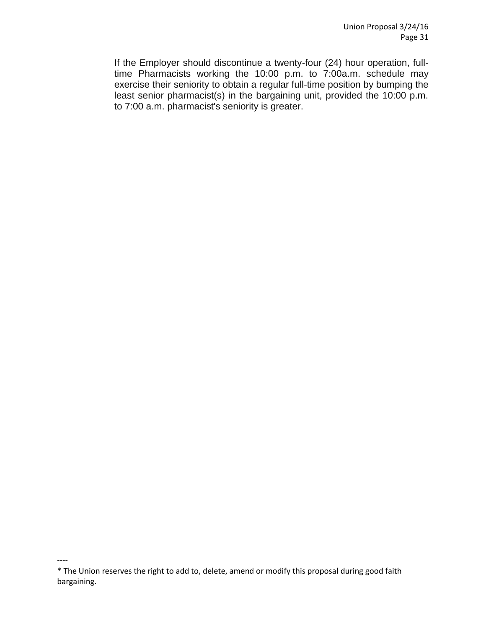If the Employer should discontinue a twenty-four (24) hour operation, fulltime Pharmacists working the 10:00 p.m. to 7:00a.m. schedule may exercise their seniority to obtain a regular full-time position by bumping the least senior pharmacist(s) in the bargaining unit, provided the 10:00 p.m. to 7:00 a.m. pharmacist's seniority is greater.

<sup>\*</sup> The Union reserves the right to add to, delete, amend or modify this proposal during good faith bargaining.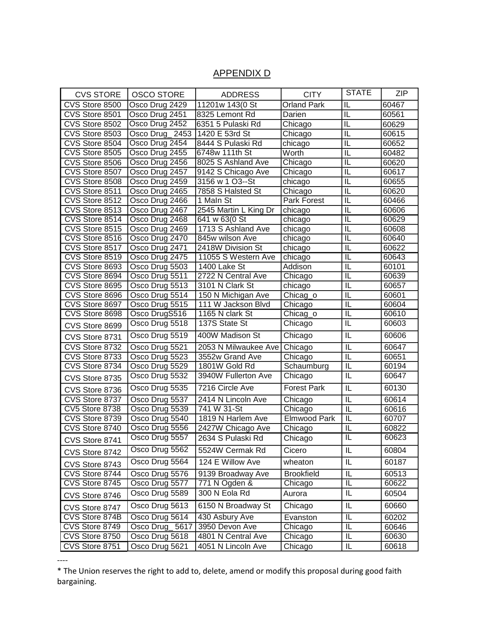# APPENDIX D

| <b>CVS STORE</b> | <b>OSCO STORE</b> | <b>ADDRESS</b>        | <b>CITY</b>        | <b>STATE</b>                      | ZIP   |
|------------------|-------------------|-----------------------|--------------------|-----------------------------------|-------|
| CVS Store 8500   | Osco Drug 2429    | 11201w 143(0 St       | <b>Orland Park</b> | $\overline{\mathsf{IL}}$          | 60467 |
| CVS Store 8501   | Osco Drug 2451    | 8325 Lemont Rd        | Darien             | $\overline{\mathsf{IL}}$          | 60561 |
| CVS Store 8502   | Osco Drug 2452    | 6351 5 Pulaski Rd     | Chicago            | $\overline{\mathsf{IL}}$          | 60629 |
| CVS Store 8503   | Osco Drug 2453    | 1420 E 53rd St        | Chicago            | IL                                | 60615 |
| CVS Store 8504   | Osco Drug 2454    | 8444 S Pulaski Rd     | chicago            | $\overline{\mathsf{L}}$           | 60652 |
| CVS Store 8505   | Osco Drug 2455    | 6748w 111th St        | Worth              | $\overline{\mathsf{IL}}$          | 60482 |
| CVS Store 8506   | Osco Drug 2456    | 8025 S Ashland Ave    | Chicago            | IL                                | 60620 |
| CVS Store 8507   | Osco Drug 2457    | 9142 S Chicago Ave    | Chicago            | IL                                | 60617 |
| CVS Store 8508   | Osco Drug 2459    | 3156 w 1 O3--St       | chicago            | IL                                | 60655 |
| CVS Store 8511   | Osco Drug 2465    | 7858 S Halsted St     | Chicago            | IL                                | 60620 |
| CVS Store 8512   | Osco Drug 2466    | 1 Maln St             | Park Forest        | IL                                | 60466 |
| CVS Store 8513   | Osco Drug 2467    | 2545 Martin L King Dr | chicago            | IL                                | 60606 |
| CVS Store 8514   | Osco Drug 2468    | 641 w 63(0 St         | chicago            | IL                                | 60629 |
| CVS Store 8515   | Osco Drug 2469    | 1713 S Ashland Ave    | chicago            | IL                                | 60608 |
| CVS Store 8516   | Osco Drug 2470    | 845w wilson Ave       | chicago            | $\overline{\mathsf{I}}$           | 60640 |
| CVS Store 8517   | Osco Drug 2471    | 2418W Division St     | chicago            | IL                                | 60622 |
| CVS Store 8519   | Osco Drug 2475    | 11055 S Western Ave   | chicago            | $\overline{\mathsf{IL}}$          | 60643 |
| CVS Store 8693   | Osco Drug 5503    | 1400 Lake St          | Addison            | π                                 | 60101 |
| CVS Store 8694   | Osco Drug 5511    | 2722 N Central Ave    | Chicago            | IL                                | 60639 |
| CVS Store 8695   | Osco Drug 5513    | 3101 N Clark St       | chicago            | $\overline{\mathsf{IL}}$          | 60657 |
| CVS Store 8696   | Osco Drug 5514    | 150 N Michigan Ave    | Chicag_o           | $\overline{\mathsf{I}\mathsf{L}}$ | 60601 |
| CVS Store 8697   | Osco Drug 5515    | 111 W Jackson Blvd    | Chicago            | $\overline{\mathsf{IL}}$          | 60604 |
| CVS Store 8698   | Osco DrugS516     | 1165 N clark St       | Chicag_o           | IL                                | 60610 |
| CVS Store 8699   | Osco Drug 5518    | 137S State St         | Chicago            | IL                                | 60603 |
| CVS Store 8731   | Osco Drug 5519    | 400W Madison St       | Chicago            | IL                                | 60606 |
| CVS Store 8732   | Osco Drug 5521    | 2053 N Milwaukee Ave  | Chicago            | IL                                | 60647 |
| CVS Store 8733   | Osco Drug 5523    | 3552w Grand Ave       | Chicago            | $\overline{\mathsf{IL}}$          | 60651 |
| CVS Store 8734   | Osco Drug 5529    | 1801W Gold Rd         | Schaumburg         | $\overline{\mathbb{L}}$           | 60194 |
| CVS Store 8735   | Osco Drug 5532    | 3940W Fullerton Ave   | Chicago            | IL                                | 60647 |
| CVS Store 8736   | Osco Drug 5535    | 7216 Circle Ave       | <b>Forest Park</b> | IL                                | 60130 |
| CVS Store 8737   | Osco Drug 5537    | 2414 N Lincoln Ave    | Chicago            | IL                                | 60614 |
| CV5 Store 8738   | Osco Drug 5539    | 741 W 31-St           | Chicago            | IL                                | 60616 |
| CVS Store 8739   | Osco Drug 5540    | 1819 N Harlem Ave     | Elmwood Park       | $\overline{\mathsf{L}}$           | 60707 |
| CVS Store 8740   | Osco Drug 5556    | 2427W Chicago Ave     | Chicago            | IL                                | 60822 |
| CVS Store 8741   | Osco Drug 5557    | 2634 S Pulaski Rd     | Chicago            | $\overline{\mathsf{IL}}$          | 60623 |
| CVS Store 8742   | Osco Drug 5562    | 5524W Cermak Rd       | Cicero             | IL                                | 60804 |
| CVS Store 8743   | Osco Drug 5564    | 124 E Willow Ave      | wheaton            | IL                                | 60187 |
| CVS Store 8744   | Osco Drug 5576    | 9139 Broadway Ave     | <b>Brookfield</b>  | IL                                | 60513 |
| CVS Store 8745   | Osco Drug 5577    | 771 N Ogden &         | Chicago            | IL                                | 60622 |
| CVS Store 8746   | Osco Drug 5589    | 300 N Eola Rd         | Aurora             | IL                                | 60504 |
| CVS Store 8747   | Osco Drug 5613    | 6150 N Broadway St    | Chicago            | IL                                | 60660 |
| CVS Store 874B   | Osco Drug 5614    | 430 Asbury Ave        | Evanston           | IL                                | 60202 |
| CVS Store 8749   | Osco Drug_5617    | 3950 Devon Ave        | Chicago            | IL                                | 60646 |
| CVS Store 8750   | Osco Drug 5618    | 4801 N Central Ave    | Chicago            | IL                                | 60630 |
| CVS Store 8751   | Osco Drug 5621    | 4051 N Lincoln Ave    | Chicago            | IL                                | 60618 |

----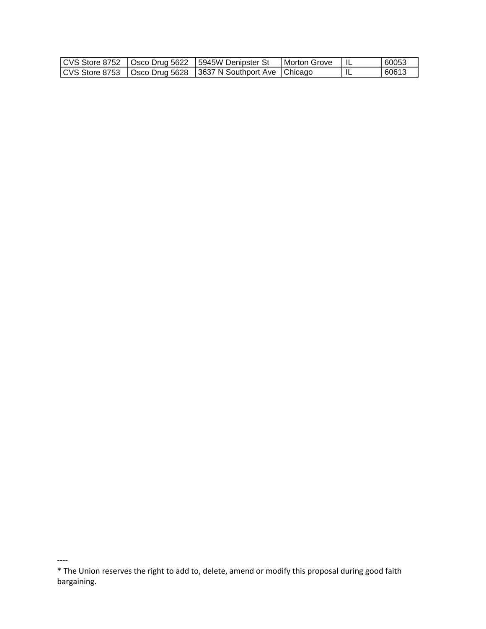|  | CVS Store 8752   Osco Drug 5622   5945W Denipster St             | Morton Grove | 60053 |
|--|------------------------------------------------------------------|--------------|-------|
|  | CVS Store 8753   Osco Drug 5628   3637 N Southport Ave   Chicago |              | 60613 |

<sup>\*</sup> The Union reserves the right to add to, delete, amend or modify this proposal during good faith bargaining.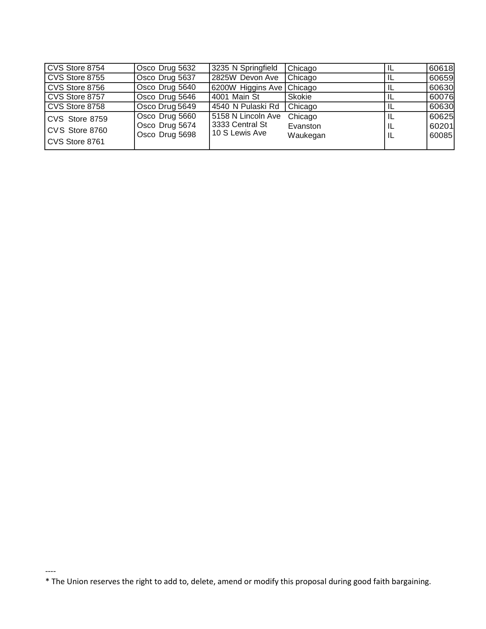| CVS Store 8754 | Osco Drug 5632 | 3235 N Springfield        | Chicago  | IL | 60618 |
|----------------|----------------|---------------------------|----------|----|-------|
| CVS Store 8755 | Osco Drug 5637 | 2825W Devon Ave           | Chicago  |    | 60659 |
| CVS Store 8756 | Osco Drug 5640 | 6200W Higgins Ave Chicago |          |    | 60630 |
| CVS Store 8757 | Osco Drug 5646 | 4001 Main St              | Skokie   |    | 60076 |
| CVS Store 8758 | Osco Drug 5649 | 4540 N Pulaski Rd         | Chicago  |    | 60630 |
| CVS Store 8759 | Osco Drug 5660 | 5158 N Lincoln Ave        | Chicago  |    | 60625 |
| CVS Store 8760 | Osco Drug 5674 | 3333 Central St           | Evanston | IL | 60201 |
|                | Osco Drug 5698 | 10 S Lewis Ave            | Waukegan | ΙL | 60085 |
| CVS Store 8761 |                |                           |          |    |       |

<sup>\*</sup> The Union reserves the right to add to, delete, amend or modify this proposal during good faith bargaining.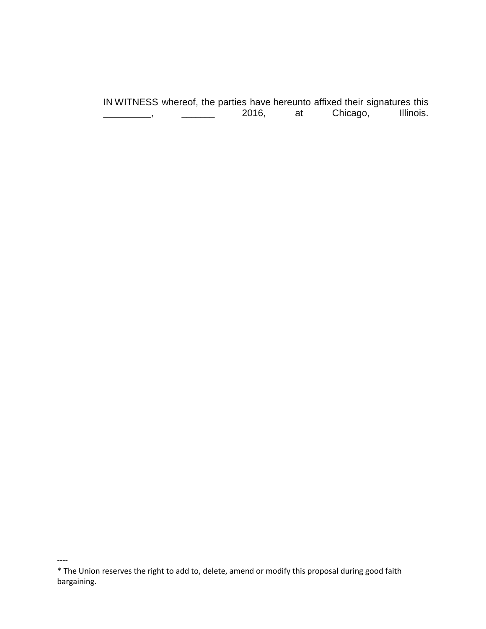IN WITNESS whereof, the parties have hereunto affixed their signatures this<br>2016, at Chicago, Illinois. \_\_\_\_\_\_\_\_\_, \_\_\_\_\_\_\_\_\_\_\_\_\_ 2016, at Chicago,

<sup>\*</sup> The Union reserves the right to add to, delete, amend or modify this proposal during good faith bargaining.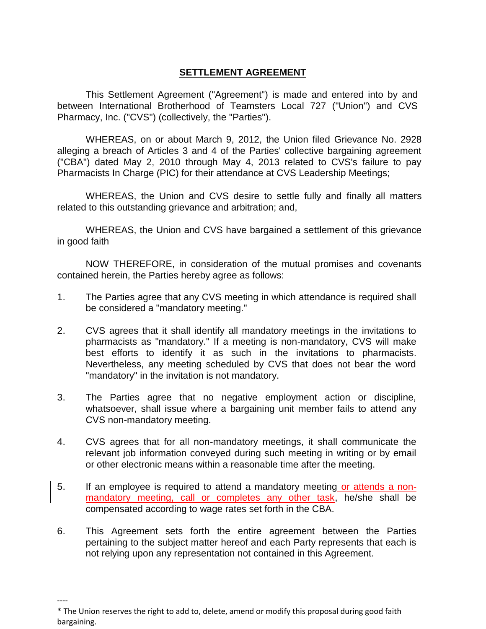# **SETTLEMENT AGREEMENT**

This Settlement Agreement ("Agreement") is made and entered into by and between International Brotherhood of Teamsters Local 727 ("Union") and CVS Pharmacy, Inc. ("CVS") (collectively, the "Parties").

WHEREAS, on or about March 9, 2012, the Union filed Grievance No. 2928 alleging a breach of Articles 3 and 4 of the Parties' collective bargaining agreement ("CBA") dated May 2, 2010 through May 4, 2013 related to CVS's failure to pay Pharmacists In Charge (PIC) for their attendance at CVS Leadership Meetings;

WHEREAS, the Union and CVS desire to settle fully and finally all matters related to this outstanding grievance and arbitration; and,

WHEREAS, the Union and CVS have bargained a settlement of this grievance in good faith

NOW THEREFORE, in consideration of the mutual promises and covenants contained herein, the Parties hereby agree as follows:

- 1. The Parties agree that any CVS meeting in which attendance is required shall be considered a "mandatory meeting."
- 2. CVS agrees that it shall identify all mandatory meetings in the invitations to pharmacists as "mandatory." If a meeting is non-mandatory, CVS will make best efforts to identify it as such in the invitations to pharmacists. Nevertheless, any meeting scheduled by CVS that does not bear the word "mandatory" in the invitation is not mandatory.
- 3. The Parties agree that no negative employment action or discipline, whatsoever, shall issue where a bargaining unit member fails to attend any CVS non-mandatory meeting.
- 4. CVS agrees that for all non-mandatory meetings, it shall communicate the relevant job information conveyed during such meeting in writing or by email or other electronic means within a reasonable time after the meeting.
- 5. If an employee is required to attend a mandatory meeting or attends a nonmandatory meeting, call or completes any other task, he/she shall be compensated according to wage rates set forth in the CBA.
- 6. This Agreement sets forth the entire agreement between the Parties pertaining to the subject matter hereof and each Party represents that each is not relying upon any representation not contained in this Agreement.

<sup>\*</sup> The Union reserves the right to add to, delete, amend or modify this proposal during good faith bargaining.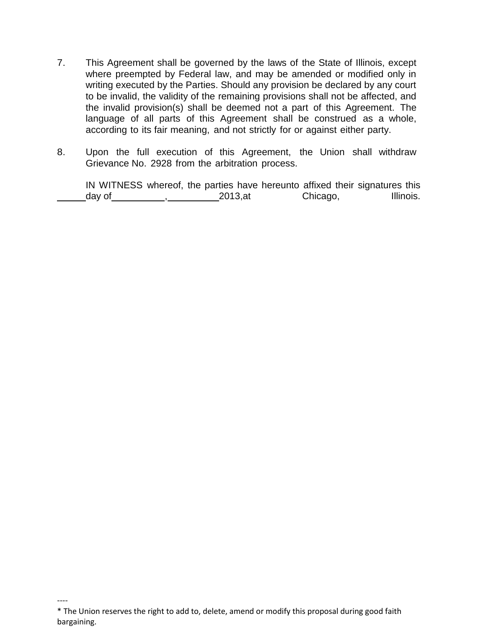- 7. This Agreement shall be governed by the laws of the State of Illinois, except where preempted by Federal law, and may be amended or modified only in writing executed by the Parties. Should any provision be declared by any court to be invalid, the validity of the remaining provisions shall not be affected, and the invalid provision(s) shall be deemed not a part of this Agreement. The language of all parts of this Agreement shall be construed as a whole, according to its fair meaning, and not strictly for or against either party.
- 8. Upon the full execution of this Agreement, the Union shall withdraw Grievance No. 2928 from the arbitration process.

IN WITNESS whereof, the parties have hereunto affixed their signatures this day of , 2013,at Chicago, Illinois.

<sup>\*</sup> The Union reserves the right to add to, delete, amend or modify this proposal during good faith bargaining.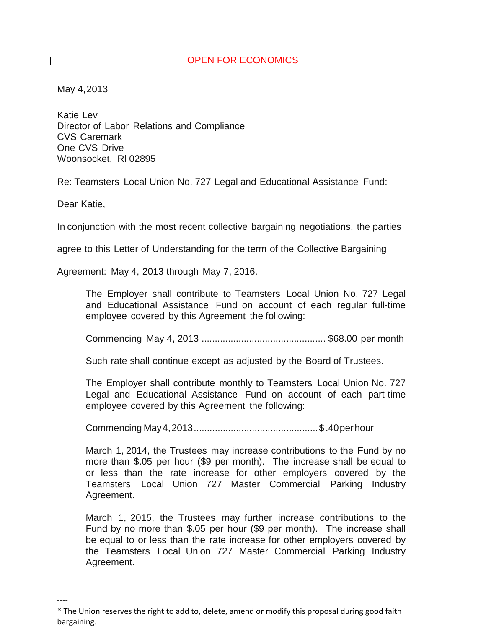#### OPEN FOR ECONOMICS

May 4,2013

 $\mathsf{I}$ 

Katie Lev Director of Labor Relations and Compliance CVS Caremark One CVS Drive Woonsocket, Rl 02895

Re: Teamsters Local Union No. 727 Legal and Educational Assistance Fund:

Dear Katie,

----

In conjunction with the most recent collective bargaining negotiations, the parties

agree to this Letter of Understanding for the term of the Collective Bargaining

Agreement: May 4, 2013 through May 7, 2016.

The Employer shall contribute to Teamsters Local Union No. 727 Legal and Educational Assistance Fund on account of each regular full-time employee covered by this Agreement the following:

Commencing May 4, 2013 ............................................... \$68.00 per month

Such rate shall continue except as adjusted by the Board of Trustees.

The Employer shall contribute monthly to Teamsters Local Union No. 727 Legal and Educational Assistance Fund on account of each part-time employee covered by this Agreement the following:

Commencing May4,2013...............................................\$ .40perhour

March 1, 2014, the Trustees may increase contributions to the Fund by no more than \$.05 per hour (\$9 per month). The increase shall be equal to or less than the rate increase for other employers covered by the Teamsters Local Union 727 Master Commercial Parking Industry Agreement.

March 1, 2015, the Trustees may further increase contributions to the Fund by no more than \$.05 per hour (\$9 per month). The increase shall be equal to or less than the rate increase for other employers covered by the Teamsters Local Union 727 Master Commercial Parking Industry Agreement.